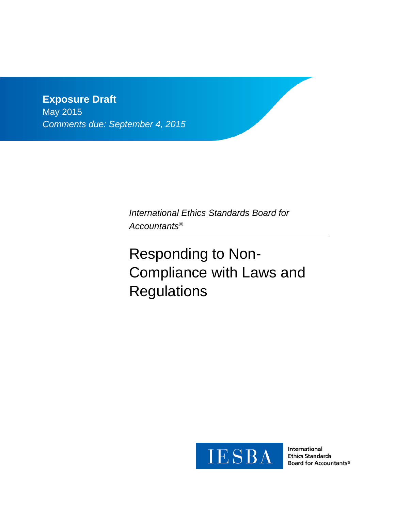**Exposure Draft** May 2015 *Comments due: September 4, 2015*

> *International Ethics Standards Board for Accountants®*

# Responding to Non-Compliance with Laws and **Regulations**



International **Ethics Standards** Board for Accountants®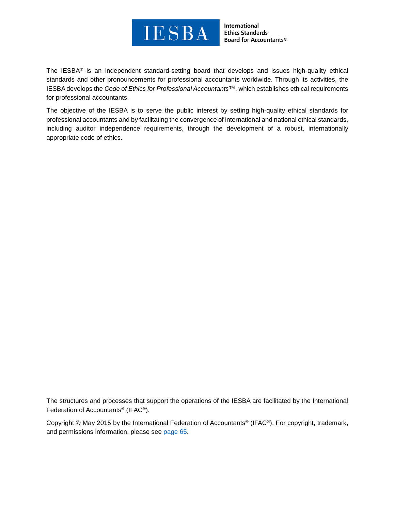

International **Ethics Standards Board for Accountants®** 

The IESBA® is an independent standard-setting board that develops and issues high-quality ethical standards and other pronouncements for professional accountants worldwide. Through its activities, the IESBA develops the *Code of Ethics for Professional Accountants™*, which establishes ethical requirements for professional accountants.

The objective of the IESBA is to serve the public interest by setting high-quality ethical standards for professional accountants and by facilitating the convergence of international and national ethical standards, including auditor independence requirements, through the development of a robust, internationally appropriate code of ethics.

The structures and processes that support the operations of the IESBA are facilitated by the International Federation of Accountants® (IFAC®).

Copyright © May 2015 by the International Federation of Accountants® (IFAC®). For copyright, trademark, and permissions information, please see [page 65.](#page-64-0)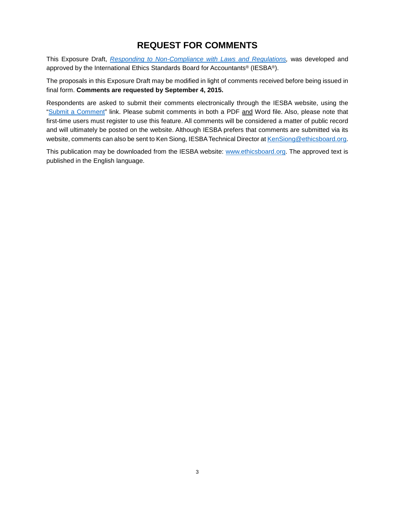# **REQUEST FOR COMMENTS**

This Exposure Draft, *[Responding to Non-Compliance with Laws and Regulations,](http://www.ifac.org/publications-resources/responding-non-compliance-laws-regulations)* was developed and approved by the International Ethics Standards Board for Accountants® (IESBA®).

The proposals in this Exposure Draft may be modified in light of comments received before being issued in final form. **Comments are requested by September 4, 2015.**

Respondents are asked to submit their comments electronically through the IESBA website, using the ["Submit a Comment"](http://www.ifac.org/publications-resources/responding-non-compliance-laws-regulations) link. Please submit comments in both a PDF and Word file. Also, please note that first-time users must register to use this feature. All comments will be considered a matter of public record and will ultimately be posted on the website. Although IESBA prefers that comments are submitted via its website, comments can also be sent to Ken Siong, IESBA Technical Director at [KenSiong@ethicsboard.org.](mailto:KenSiong@ethicsboard.org)

This publication may be downloaded from the IESBA website: [www.ethicsboard.org.](http://www.ethicsboard.org/) The approved text is published in the English language.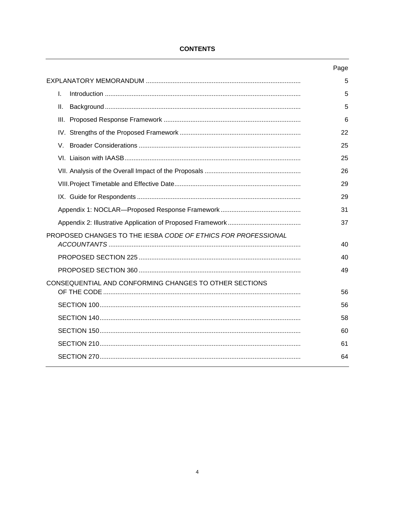# **CONTENTS**

|                                                               | Page |
|---------------------------------------------------------------|------|
|                                                               | 5    |
| I.                                                            | 5    |
| Ⅱ.                                                            | 5    |
|                                                               | 6    |
|                                                               | 22   |
|                                                               | 25   |
|                                                               | 25   |
|                                                               | 26   |
|                                                               | 29   |
|                                                               | 29   |
|                                                               | 31   |
|                                                               | 37   |
| PROPOSED CHANGES TO THE IESBA CODE OF ETHICS FOR PROFESSIONAL | 40   |
|                                                               | 40   |
|                                                               | 49   |
| CONSEQUENTIAL AND CONFORMING CHANGES TO OTHER SECTIONS        | 56   |
|                                                               | 56   |
|                                                               | 58   |
|                                                               | 60   |
|                                                               | 61   |
|                                                               | 64   |
|                                                               |      |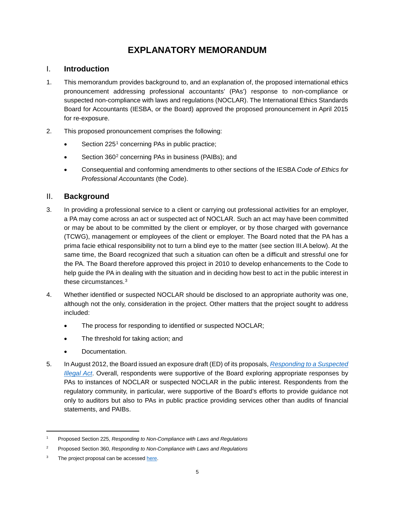# **EXPLANATORY MEMORANDUM**

# <span id="page-4-1"></span><span id="page-4-0"></span>I. **Introduction**

- 1. This memorandum provides background to, and an explanation of, the proposed international ethics pronouncement addressing professional accountants' (PAs') response to non-compliance or suspected non-compliance with laws and regulations (NOCLAR). The International Ethics Standards Board for Accountants (IESBA, or the Board) approved the proposed pronouncement in April 2015 for re-exposure.
- 2. This proposed pronouncement comprises the following:
	- Section 225<sup>[1](#page-4-3)</sup> concerning PAs in public practice;
	- Section 360<sup>[2](#page-4-4)</sup> concerning PAs in business (PAIBs); and
	- Consequential and conforming amendments to other sections of the IESBA *Code of Ethics for Professional Accountants* (the Code).

# <span id="page-4-2"></span>II. **Background**

- 3. In providing a professional service to a client or carrying out professional activities for an employer, a PA may come across an act or suspected act of NOCLAR. Such an act may have been committed or may be about to be committed by the client or employer, or by those charged with governance (TCWG), management or employees of the client or employer. The Board noted that the PA has a prima facie ethical responsibility not to turn a blind eye to the matter (see section III.A below). At the same time, the Board recognized that such a situation can often be a difficult and stressful one for the PA. The Board therefore approved this project in 2010 to develop enhancements to the Code to help guide the PA in dealing with the situation and in deciding how best to act in the public interest in these circumstances.[3](#page-4-5)
- 4. Whether identified or suspected NOCLAR should be disclosed to an appropriate authority was one, although not the only, consideration in the project. Other matters that the project sought to address included:
	- The process for responding to identified or suspected NOCLAR;
	- The threshold for taking action; and
	- Documentation.
- 5. In August 2012, the Board issued an exposure draft (ED) of its proposals, *[Responding to a Suspected](http://www.ifac.org/publications-resources/responding-suspected-illegal-act)  [Illegal Act](http://www.ifac.org/publications-resources/responding-suspected-illegal-act)*. Overall, respondents were supportive of the Board exploring appropriate responses by PAs to instances of NOCLAR or suspected NOCLAR in the public interest. Respondents from the regulatory community, in particular, were supportive of the Board's efforts to provide guidance not only to auditors but also to PAs in public practice providing services other than audits of financial statements, and PAIBs.

 $\overline{\phantom{a}}$ 

<span id="page-4-3"></span><sup>1</sup> Proposed Section 225, *Responding to Non-Compliance with Laws and Regulations*

<span id="page-4-4"></span><sup>2</sup> Proposed Section 360, *Responding to Non-Compliance with Laws and Regulations*

<span id="page-4-5"></span><sup>&</sup>lt;sup>3</sup> The project proposal can be accessed here.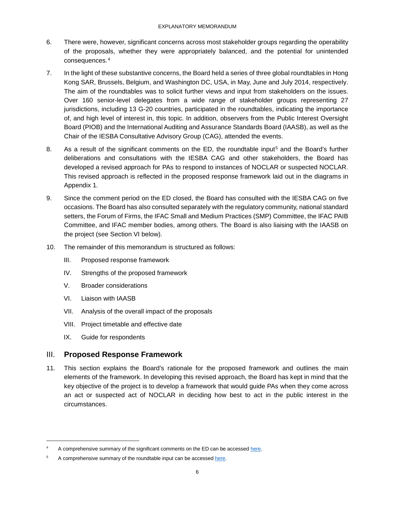- 6. There were, however, significant concerns across most stakeholder groups regarding the operability of the proposals, whether they were appropriately balanced, and the potential for unintended consequences.[4](#page-5-1)
- 7. In the light of these substantive concerns, the Board held a series of three global roundtables in Hong Kong SAR, Brussels, Belgium, and Washington DC, USA, in May, June and July 2014, respectively. The aim of the roundtables was to solicit further views and input from stakeholders on the issues. Over 160 senior-level delegates from a wide range of stakeholder groups representing 27 jurisdictions, including 13 G-20 countries, participated in the roundtables, indicating the importance of, and high level of interest in, this topic. In addition, observers from the Public Interest Oversight Board (PIOB) and the International Auditing and Assurance Standards Board (IAASB), as well as the Chair of the IESBA Consultative Advisory Group (CAG), attended the events.
- 8. As a result of the significant comments on the ED, the roundtable input<sup>[5](#page-5-2)</sup> and the Board's further deliberations and consultations with the IESBA CAG and other stakeholders, the Board has developed a revised approach for PAs to respond to instances of NOCLAR or suspected NOCLAR. This revised approach is reflected in the proposed response framework laid out in the diagrams in Appendix 1.
- 9. Since the comment period on the ED closed, the Board has consulted with the IESBA CAG on five occasions. The Board has also consulted separately with the regulatory community, national standard setters, the Forum of Firms, the IFAC Small and Medium Practices (SMP) Committee, the IFAC PAIB Committee, and IFAC member bodies, among others. The Board is also liaising with the IAASB on the project (see Section VI below).
- 10. The remainder of this memorandum is structured as follows:
	- III. Proposed response framework
	- IV. Strengths of the proposed framework
	- V. Broader considerations
	- VI. Liaison with IAASB
	- VII. Analysis of the overall impact of the proposals
	- VIII. Project timetable and effective date
	- IX. Guide for respondents

 $\overline{\phantom{a}}$ 

# <span id="page-5-0"></span>III. **Proposed Response Framework**

11. This section explains the Board's rationale for the proposed framework and outlines the main elements of the framework. In developing this revised approach, the Board has kept in mind that the key objective of the project is to develop a framework that would guide PAs when they come across an act or suspected act of NOCLAR in deciding how best to act in the public interest in the circumstances.

<span id="page-5-1"></span><sup>4</sup> A comprehensive summary of the significant comments on the ED can be accesse[d here.](http://www.ifac.org/sites/default/files/meetings/files/Agenda%20Item%202-A%20-%20Suspected%20Illegal%20Acts%20-%20Issues%20Paper.pdf)

<span id="page-5-2"></span><sup>&</sup>lt;sup>5</sup> A comprehensive summary of the roundtable input can be accesse[d here.](http://www.ifac.org/sites/default/files/meetings/files/Agenda%20Item%206-A%20-%20Summary%20of%20Roundtable%20Feedback%20and%20TF%20Proposals%20(PDF).pdf)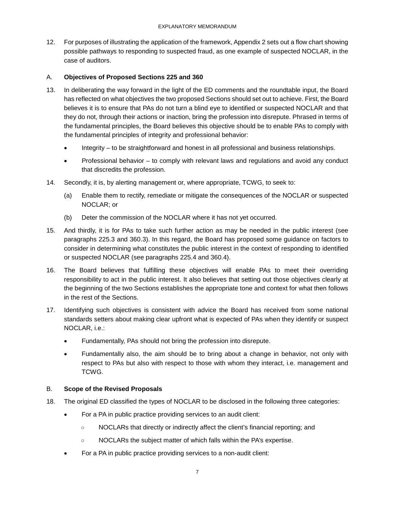12. For purposes of illustrating the application of the framework, Appendix 2 sets out a flow chart showing possible pathways to responding to suspected fraud, as one example of suspected NOCLAR, in the case of auditors.

# A. **Objectives of Proposed Sections 225 and 360**

- 13. In deliberating the way forward in the light of the ED comments and the roundtable input, the Board has reflected on what objectives the two proposed Sections should set out to achieve. First, the Board believes it is to ensure that PAs do not turn a blind eye to identified or suspected NOCLAR and that they do not, through their actions or inaction, bring the profession into disrepute. Phrased in terms of the fundamental principles, the Board believes this objective should be to enable PAs to comply with the fundamental principles of integrity and professional behavior:
	- Integrity to be straightforward and honest in all professional and business relationships.
	- Professional behavior to comply with relevant laws and regulations and avoid any conduct that discredits the profession.
- 14. Secondly, it is, by alerting management or, where appropriate, TCWG, to seek to:
	- (a) Enable them to rectify, remediate or mitigate the consequences of the NOCLAR or suspected NOCLAR; or
	- (b) Deter the commission of the NOCLAR where it has not yet occurred.
- 15. And thirdly, it is for PAs to take such further action as may be needed in the public interest (see paragraphs 225.3 and 360.3). In this regard, the Board has proposed some guidance on factors to consider in determining what constitutes the public interest in the context of responding to identified or suspected NOCLAR (see paragraphs 225.4 and 360.4).
- 16. The Board believes that fulfilling these objectives will enable PAs to meet their overriding responsibility to act in the public interest. It also believes that setting out those objectives clearly at the beginning of the two Sections establishes the appropriate tone and context for what then follows in the rest of the Sections.
- 17. Identifying such objectives is consistent with advice the Board has received from some national standards setters about making clear upfront what is expected of PAs when they identify or suspect NOCLAR, i.e.:
	- Fundamentally, PAs should not bring the profession into disrepute.
	- Fundamentally also, the aim should be to bring about a change in behavior, not only with respect to PAs but also with respect to those with whom they interact, i.e. management and TCWG.

# B. **Scope of the Revised Proposals**

- 18. The original ED classified the types of NOCLAR to be disclosed in the following three categories:
	- For a PA in public practice providing services to an audit client:
		- NOCLARs that directly or indirectly affect the client's financial reporting; and
		- NOCLARs the subject matter of which falls within the PA's expertise.
	- For a PA in public practice providing services to a non-audit client: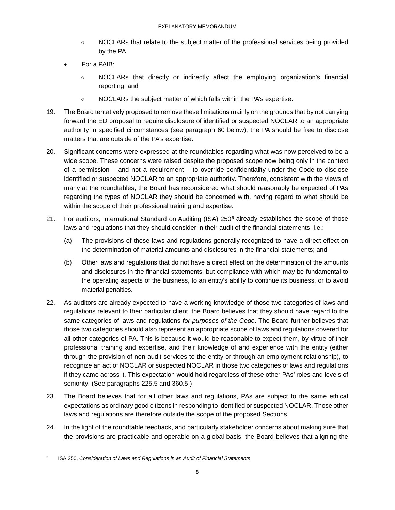- NOCLARs that relate to the subject matter of the professional services being provided by the PA.
- For a PAIB:
	- NOCLARs that directly or indirectly affect the employing organization's financial reporting; and
	- NOCLARs the subject matter of which falls within the PA's expertise.
- 19. The Board tentatively proposed to remove these limitations mainly on the grounds that by not carrying forward the ED proposal to require disclosure of identified or suspected NOCLAR to an appropriate authority in specified circumstances (see paragraph 60 below), the PA should be free to disclose matters that are outside of the PA's expertise.
- 20. Significant concerns were expressed at the roundtables regarding what was now perceived to be a wide scope. These concerns were raised despite the proposed scope now being only in the context of a permission – and not a requirement – to override confidentiality under the Code to disclose identified or suspected NOCLAR to an appropriate authority. Therefore, consistent with the views of many at the roundtables, the Board has reconsidered what should reasonably be expected of PAs regarding the types of NOCLAR they should be concerned with, having regard to what should be within the scope of their professional training and expertise.
- 21. For auditors, International Standard on Auditing (ISA) 250<sup>[6](#page-7-0)</sup> already establishes the scope of those laws and regulations that they should consider in their audit of the financial statements, i.e.:
	- (a) The provisions of those laws and regulations generally recognized to have a direct effect on the determination of material amounts and disclosures in the financial statements; and
	- (b) Other laws and regulations that do not have a direct effect on the determination of the amounts and disclosures in the financial statements, but compliance with which may be fundamental to the operating aspects of the business, to an entity's ability to continue its business, or to avoid material penalties.
- 22. As auditors are already expected to have a working knowledge of those two categories of laws and regulations relevant to their particular client, the Board believes that they should have regard to the same categories of laws and regulations *for purposes of the Code*. The Board further believes that those two categories should also represent an appropriate scope of laws and regulations covered for all other categories of PA. This is because it would be reasonable to expect them, by virtue of their professional training and expertise, and their knowledge of and experience with the entity (either through the provision of non-audit services to the entity or through an employment relationship), to recognize an act of NOCLAR or suspected NOCLAR in those two categories of laws and regulations if they came across it. This expectation would hold regardless of these other PAs' roles and levels of seniority. (See paragraphs 225.5 and 360.5.)
- 23. The Board believes that for all other laws and regulations, PAs are subject to the same ethical expectations as ordinary good citizens in responding to identified or suspected NOCLAR. Those other laws and regulations are therefore outside the scope of the proposed Sections.
- 24. In the light of the roundtable feedback, and particularly stakeholder concerns about making sure that the provisions are practicable and operable on a global basis, the Board believes that aligning the

 $\overline{\phantom{a}}$ 

<span id="page-7-0"></span><sup>6</sup> ISA 250, *Consideration of Laws and Regulations in an Audit of Financial Statements*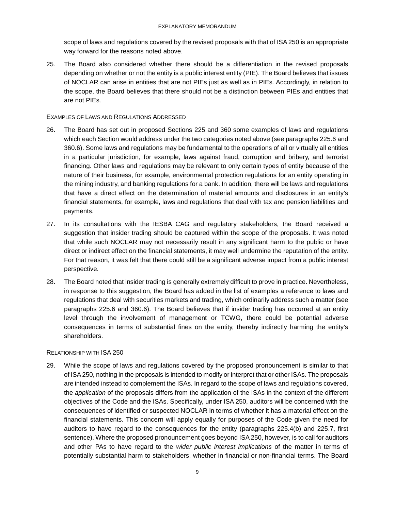scope of laws and regulations covered by the revised proposals with that of ISA 250 is an appropriate way forward for the reasons noted above.

25. The Board also considered whether there should be a differentiation in the revised proposals depending on whether or not the entity is a public interest entity (PIE). The Board believes that issues of NOCLAR can arise in entities that are not PIEs just as well as in PIEs. Accordingly, in relation to the scope, the Board believes that there should not be a distinction between PIEs and entities that are not PIEs.

#### EXAMPLES OF LAWS AND REGULATIONS ADDRESSED

- 26. The Board has set out in proposed Sections 225 and 360 some examples of laws and regulations which each Section would address under the two categories noted above (see paragraphs 225.6 and 360.6). Some laws and regulations may be fundamental to the operations of all or virtually all entities in a particular jurisdiction, for example, laws against fraud, corruption and bribery, and terrorist financing. Other laws and regulations may be relevant to only certain types of entity because of the nature of their business, for example, environmental protection regulations for an entity operating in the mining industry, and banking regulations for a bank. In addition, there will be laws and regulations that have a direct effect on the determination of material amounts and disclosures in an entity's financial statements, for example, laws and regulations that deal with tax and pension liabilities and payments.
- 27. In its consultations with the IESBA CAG and regulatory stakeholders, the Board received a suggestion that insider trading should be captured within the scope of the proposals. It was noted that while such NOCLAR may not necessarily result in any significant harm to the public or have direct or indirect effect on the financial statements, it may well undermine the reputation of the entity. For that reason, it was felt that there could still be a significant adverse impact from a public interest perspective.
- 28. The Board noted that insider trading is generally extremely difficult to prove in practice. Nevertheless, in response to this suggestion, the Board has added in the list of examples a reference to laws and regulations that deal with securities markets and trading, which ordinarily address such a matter (see paragraphs 225.6 and 360.6). The Board believes that if insider trading has occurred at an entity level through the involvement of management or TCWG, there could be potential adverse consequences in terms of substantial fines on the entity, thereby indirectly harming the entity's shareholders.

#### RELATIONSHIP WITH ISA 250

29. While the scope of laws and regulations covered by the proposed pronouncement is similar to that of ISA 250, nothing in the proposals is intended to modify or interpret that or other ISAs. The proposals are intended instead to complement the ISAs. In regard to the scope of laws and regulations covered, the *application* of the proposals differs from the application of the ISAs in the context of the different objectives of the Code and the ISAs. Specifically, under ISA 250, auditors will be concerned with the consequences of identified or suspected NOCLAR in terms of whether it has a material effect on the financial statements. This concern will apply equally for purposes of the Code given the need for auditors to have regard to the consequences for the entity (paragraphs 225.4(b) and 225.7, first sentence). Where the proposed pronouncement goes beyond ISA 250, however, is to call for auditors and other PAs to have regard to the *wider public interest implications* of the matter in terms of potentially substantial harm to stakeholders, whether in financial or non-financial terms. The Board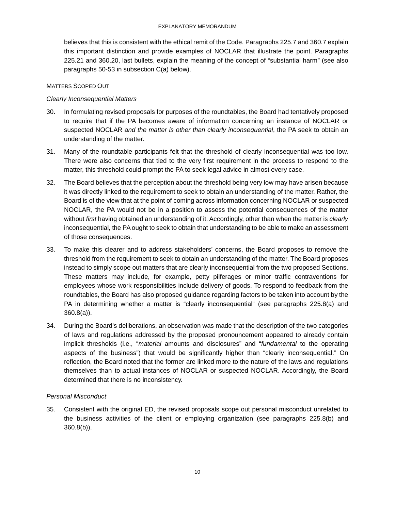believes that this is consistent with the ethical remit of the Code. Paragraphs 225.7 and 360.7 explain this important distinction and provide examples of NOCLAR that illustrate the point. Paragraphs 225.21 and 360.20, last bullets, explain the meaning of the concept of "substantial harm" (see also paragraphs 50-53 in subsection C(a) below).

#### MATTERS SCOPED OUT

#### *Clearly Inconsequential Matters*

- 30. In formulating revised proposals for purposes of the roundtables, the Board had tentatively proposed to require that if the PA becomes aware of information concerning an instance of NOCLAR or suspected NOCLAR *and the matter is other than clearly inconsequential*, the PA seek to obtain an understanding of the matter.
- 31. Many of the roundtable participants felt that the threshold of clearly inconsequential was too low. There were also concerns that tied to the very first requirement in the process to respond to the matter, this threshold could prompt the PA to seek legal advice in almost every case.
- 32. The Board believes that the perception about the threshold being very low may have arisen because it was directly linked to the requirement to seek to obtain an understanding of the matter. Rather, the Board is of the view that at the point of coming across information concerning NOCLAR or suspected NOCLAR, the PA would not be in a position to assess the potential consequences of the matter without *first* having obtained an understanding of it. Accordingly, other than when the matter is *clearly*  inconsequential, the PA ought to seek to obtain that understanding to be able to make an assessment of those consequences.
- 33. To make this clearer and to address stakeholders' concerns, the Board proposes to remove the threshold from the requirement to seek to obtain an understanding of the matter. The Board proposes instead to simply scope out matters that are clearly inconsequential from the two proposed Sections. These matters may include, for example, petty pilferages or minor traffic contraventions for employees whose work responsibilities include delivery of goods. To respond to feedback from the roundtables, the Board has also proposed guidance regarding factors to be taken into account by the PA in determining whether a matter is "clearly inconsequential" (see paragraphs 225.8(a) and 360.8(a)).
- 34. During the Board's deliberations, an observation was made that the description of the two categories of laws and regulations addressed by the proposed pronouncement appeared to already contain implicit thresholds (i.e., "*material* amounts and disclosures" and "*fundamental* to the operating aspects of the business") that would be significantly higher than "clearly inconsequential." On reflection, the Board noted that the former are linked more to the nature of the laws and regulations themselves than to actual instances of NOCLAR or suspected NOCLAR. Accordingly, the Board determined that there is no inconsistency.

#### *Personal Misconduct*

35. Consistent with the original ED, the revised proposals scope out personal misconduct unrelated to the business activities of the client or employing organization (see paragraphs 225.8(b) and 360.8(b)).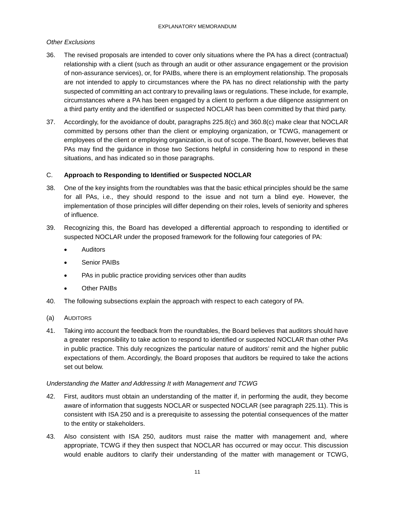#### *Other Exclusions*

- 36. The revised proposals are intended to cover only situations where the PA has a direct (contractual) relationship with a client (such as through an audit or other assurance engagement or the provision of non-assurance services), or, for PAIBs, where there is an employment relationship. The proposals are not intended to apply to circumstances where the PA has no direct relationship with the party suspected of committing an act contrary to prevailing laws or regulations. These include, for example, circumstances where a PA has been engaged by a client to perform a due diligence assignment on a third party entity and the identified or suspected NOCLAR has been committed by that third party.
- 37. Accordingly, for the avoidance of doubt, paragraphs 225.8(c) and 360.8(c) make clear that NOCLAR committed by persons other than the client or employing organization, or TCWG, management or employees of the client or employing organization, is out of scope. The Board, however, believes that PAs may find the guidance in those two Sections helpful in considering how to respond in these situations, and has indicated so in those paragraphs.

# C. **Approach to Responding to Identified or Suspected NOCLAR**

- 38. One of the key insights from the roundtables was that the basic ethical principles should be the same for all PAs, i.e., they should respond to the issue and not turn a blind eye. However, the implementation of those principles will differ depending on their roles, levels of seniority and spheres of influence.
- 39. Recognizing this, the Board has developed a differential approach to responding to identified or suspected NOCLAR under the proposed framework for the following four categories of PA:
	- Auditors
	- Senior PAIBs
	- PAs in public practice providing services other than audits
	- **Other PAIBs**
- 40. The following subsections explain the approach with respect to each category of PA.
- (a) AUDITORS
- 41. Taking into account the feedback from the roundtables, the Board believes that auditors should have a greater responsibility to take action to respond to identified or suspected NOCLAR than other PAs in public practice. This duly recognizes the particular nature of auditors' remit and the higher public expectations of them. Accordingly, the Board proposes that auditors be required to take the actions set out below.

# *Understanding the Matter and Addressing It with Management and TCWG*

- 42. First, auditors must obtain an understanding of the matter if, in performing the audit, they become aware of information that suggests NOCLAR or suspected NOCLAR (see paragraph 225.11). This is consistent with ISA 250 and is a prerequisite to assessing the potential consequences of the matter to the entity or stakeholders.
- 43. Also consistent with ISA 250, auditors must raise the matter with management and, where appropriate, TCWG if they then suspect that NOCLAR has occurred or may occur. This discussion would enable auditors to clarify their understanding of the matter with management or TCWG,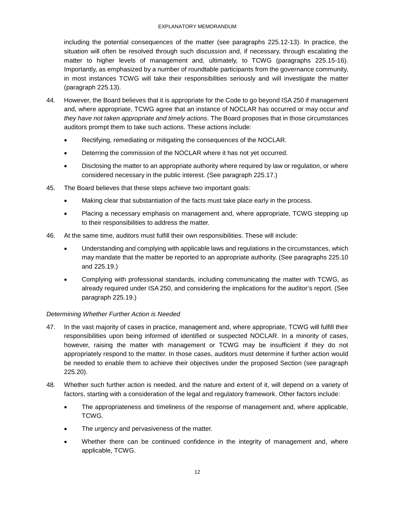#### EXPLANATORY MEMORANDUM

including the potential consequences of the matter (see paragraphs 225.12-13). In practice, the situation will often be resolved through such discussion and, if necessary, through escalating the matter to higher levels of management and, ultimately, to TCWG (paragraphs 225.15-16). Importantly, as emphasized by a number of roundtable participants from the governance community, in most instances TCWG will take their responsibilities seriously and will investigate the matter (paragraph 225.13).

- 44. However, the Board believes that it is appropriate for the Code to go beyond ISA 250 if management and, where appropriate, TCWG agree that an instance of NOCLAR has occurred or may occur *and they have not taken appropriate and timely actions*. The Board proposes that in those circumstances auditors prompt them to take such actions. These actions include:
	- Rectifying, remediating or mitigating the consequences of the NOCLAR.
	- Deterring the commission of the NOCLAR where it has not yet occurred.
	- Disclosing the matter to an appropriate authority where required by law or regulation, or where considered necessary in the public interest. (See paragraph 225.17.)
- 45. The Board believes that these steps achieve two important goals:
	- Making clear that substantiation of the facts must take place early in the process.
	- Placing a necessary emphasis on management and, where appropriate, TCWG stepping up to their responsibilities to address the matter.
- 46. At the same time, auditors must fulfill their own responsibilities. These will include:
	- Understanding and complying with applicable laws and regulations in the circumstances, which may mandate that the matter be reported to an appropriate authority. (See paragraphs 225.10 and 225.19.)
	- Complying with professional standards, including communicating the matter with TCWG, as already required under ISA 250, and considering the implications for the auditor's report. (See paragraph 225.19.)

# *Determining Whether Further Action is Needed*

- 47. In the vast majority of cases in practice, management and, where appropriate, TCWG will fulfill their responsibilities upon being informed of identified or suspected NOCLAR. In a minority of cases, however, raising the matter with management or TCWG may be insufficient if they do not appropriately respond to the matter. In those cases, auditors must determine if further action would be needed to enable them to achieve their objectives under the proposed Section (see paragraph 225.20).
- 48. Whether such further action is needed, and the nature and extent of it, will depend on a variety of factors, starting with a consideration of the legal and regulatory framework. Other factors include:
	- The appropriateness and timeliness of the response of management and, where applicable, TCWG.
	- The urgency and pervasiveness of the matter.
	- Whether there can be continued confidence in the integrity of management and, where applicable, TCWG.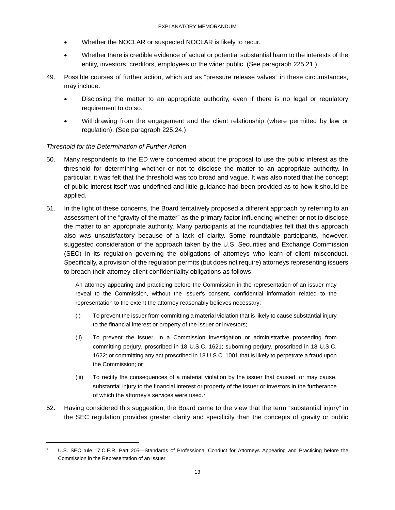- Whether the NOCLAR or suspected NOCLAR is likely to recur.
- Whether there is credible evidence of actual or potential substantial harm to the interests of the entity, investors, creditors, employees or the wider public. (See paragraph 225.21.)
- 49. Possible courses of further action, which act as "pressure release valves" in these circumstances, may include:
	- Disclosing the matter to an appropriate authority, even if there is no legal or regulatory requirement to do so.
	- Withdrawing from the engagement and the client relationship (where permitted by law or regulation). (See paragraph 225.24.)

#### *Threshold for the Determination of Further Action*

 $\overline{\phantom{a}}$ 

- 50. Many respondents to the ED were concerned about the proposal to use the public interest as the threshold for determining whether or not to disclose the matter to an appropriate authority. In particular, it was felt that the threshold was too broad and vague. It was also noted that the concept of public interest itself was undefined and little guidance had been provided as to how it should be applied.
- 51. In the light of these concerns, the Board tentatively proposed a different approach by referring to an assessment of the "gravity of the matter" as the primary factor influencing whether or not to disclose the matter to an appropriate authority. Many participants at the roundtables felt that this approach also was unsatisfactory because of a lack of clarity. Some roundtable participants, however, suggested consideration of the approach taken by the U.S. Securities and Exchange Commission (SEC) in its regulation governing the obligations of attorneys who learn of client misconduct. Specifically, a provision of the regulation permits (but does not require) attorneys representing issuers to breach their attorney-client confidentiality obligations as follows:

An attorney appearing and practicing before the Commission in the representation of an issuer may reveal to the Commission, without the issuer's consent, confidential information related to the representation to the extent the attorney reasonably believes necessary:

- (i) To prevent the issuer from committing a material violation that is likely to cause substantial injury to the financial interest or property of the issuer or investors;
- (ii) To prevent the issuer, in a Commission investigation or administrative proceeding from committing perjury, proscribed in 18 U.S.C. 1621; suborning perjury, proscribed in 18 U.S.C. 1622; or committing any act proscribed in 18 U.S.C. 1001 that is likely to perpetrate a fraud upon the Commission; or
- (iii) To rectify the consequences of a material violation by the issuer that caused, or may cause, substantial injury to the financial interest or property of the issuer or investors in the furtherance of which the attorney's services were used.[7](#page-12-0)
- 52. Having considered this suggestion, the Board came to the view that the term "substantial injury" in the SEC regulation provides greater clarity and specificity than the concepts of gravity or public

<span id="page-12-0"></span><sup>&</sup>lt;sup>7</sup> U.S. SEC rule 17.C.F.R. Part 205—Standards of Professional Conduct for Attorneys Appearing and Practicing before the Commission in the Representation of an Issuer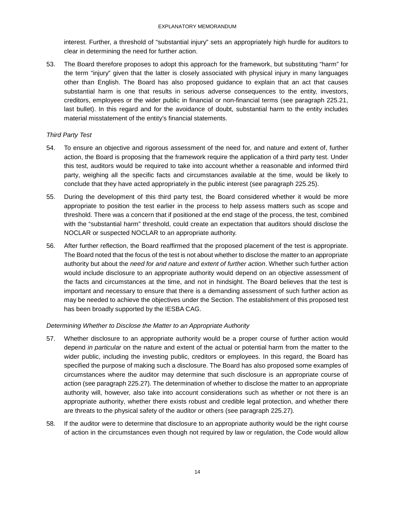interest. Further, a threshold of "substantial injury" sets an appropriately high hurdle for auditors to clear in determining the need for further action.

53. The Board therefore proposes to adopt this approach for the framework, but substituting "harm" for the term "injury" given that the latter is closely associated with physical injury in many languages other than English. The Board has also proposed guidance to explain that an act that causes substantial harm is one that results in serious adverse consequences to the entity, investors, creditors, employees or the wider public in financial or non-financial terms (see paragraph 225.21, last bullet). In this regard and for the avoidance of doubt, substantial harm to the entity includes material misstatement of the entity's financial statements.

# *Third Party Test*

- 54. To ensure an objective and rigorous assessment of the need for, and nature and extent of, further action, the Board is proposing that the framework require the application of a third party test. Under this test, auditors would be required to take into account whether a reasonable and informed third party, weighing all the specific facts and circumstances available at the time, would be likely to conclude that they have acted appropriately in the public interest (see paragraph 225.25).
- 55. During the development of this third party test, the Board considered whether it would be more appropriate to position the test earlier in the process to help assess matters such as scope and threshold. There was a concern that if positioned at the end stage of the process, the test, combined with the "substantial harm" threshold, could create an expectation that auditors should disclose the NOCLAR or suspected NOCLAR to an appropriate authority.
- 56. After further reflection, the Board reaffirmed that the proposed placement of the test is appropriate. The Board noted that the focus of the test is not about whether to disclose the matter to an appropriate authority but about the *need for and nature and extent of further action*. Whether such further action would include disclosure to an appropriate authority would depend on an objective assessment of the facts and circumstances at the time, and not in hindsight. The Board believes that the test is important and necessary to ensure that there is a demanding assessment of such further action as may be needed to achieve the objectives under the Section. The establishment of this proposed test has been broadly supported by the IESBA CAG.

#### *Determining Whether to Disclose the Matter to an Appropriate Authority*

- 57. Whether disclosure to an appropriate authority would be a proper course of further action would depend *in particular* on the nature and extent of the actual or potential harm from the matter to the wider public, including the investing public, creditors or employees. In this regard, the Board has specified the purpose of making such a disclosure. The Board has also proposed some examples of circumstances where the auditor may determine that such disclosure is an appropriate course of action (see paragraph 225.27). The determination of whether to disclose the matter to an appropriate authority will, however, also take into account considerations such as whether or not there is an appropriate authority, whether there exists robust and credible legal protection, and whether there are threats to the physical safety of the auditor or others (see paragraph 225.27).
- 58. If the auditor were to determine that disclosure to an appropriate authority would be the right course of action in the circumstances even though not required by law or regulation, the Code would allow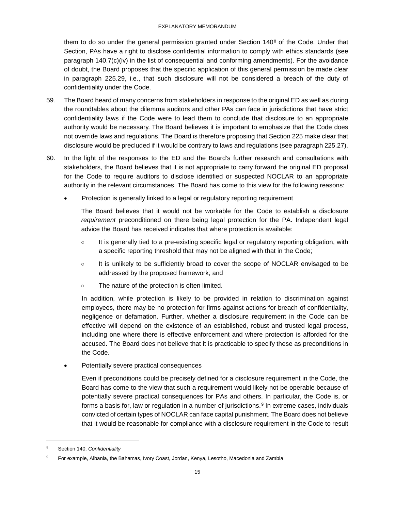#### EXPLANATORY MEMORANDUM

them to do so under the general permission granted under Section  $140<sup>8</sup>$  $140<sup>8</sup>$  $140<sup>8</sup>$  of the Code. Under that Section, PAs have a right to disclose confidential information to comply with ethics standards (see paragraph 140.7(c)(iv) in the list of consequential and conforming amendments). For the avoidance of doubt, the Board proposes that the specific application of this general permission be made clear in paragraph 225.29, i.e., that such disclosure will not be considered a breach of the duty of confidentiality under the Code.

- 59. The Board heard of many concerns from stakeholders in response to the original ED as well as during the roundtables about the dilemma auditors and other PAs can face in jurisdictions that have strict confidentiality laws if the Code were to lead them to conclude that disclosure to an appropriate authority would be necessary. The Board believes it is important to emphasize that the Code does not override laws and regulations. The Board is therefore proposing that Section 225 make clear that disclosure would be precluded if it would be contrary to laws and regulations (see paragraph 225.27).
- 60. In the light of the responses to the ED and the Board's further research and consultations with stakeholders, the Board believes that it is not appropriate to carry forward the original ED proposal for the Code to require auditors to disclose identified or suspected NOCLAR to an appropriate authority in the relevant circumstances. The Board has come to this view for the following reasons:
	- Protection is generally linked to a legal or regulatory reporting requirement

The Board believes that it would not be workable for the Code to establish a disclosure *requirement* preconditioned on there being legal protection for the PA. Independent legal advice the Board has received indicates that where protection is available:

- It is generally tied to a pre-existing specific legal or regulatory reporting obligation, with a specific reporting threshold that may not be aligned with that in the Code;
- It is unlikely to be sufficiently broad to cover the scope of NOCLAR envisaged to be addressed by the proposed framework; and
- The nature of the protection is often limited.

In addition, while protection is likely to be provided in relation to discrimination against employees, there may be no protection for firms against actions for breach of confidentiality, negligence or defamation. Further, whether a disclosure requirement in the Code can be effective will depend on the existence of an established, robust and trusted legal process, including one where there is effective enforcement and where protection is afforded for the accused. The Board does not believe that it is practicable to specify these as preconditions in the Code.

Potentially severe practical consequences

Even if preconditions could be precisely defined for a disclosure requirement in the Code, the Board has come to the view that such a requirement would likely not be operable because of potentially severe practical consequences for PAs and others. In particular, the Code is, or forms a basis for, law or regulation in a number of jurisdictions.<sup>[9](#page-14-1)</sup> In extreme cases, individuals convicted of certain types of NOCLAR can face capital punishment. The Board does not believe that it would be reasonable for compliance with a disclosure requirement in the Code to result

 $\overline{\phantom{a}}$ 

<span id="page-14-0"></span><sup>8</sup> Section 140, *Confidentiality*

<span id="page-14-1"></span><sup>9</sup> For example, Albania, the Bahamas, Ivory Coast, Jordan, Kenya, Lesotho, Macedonia and Zambia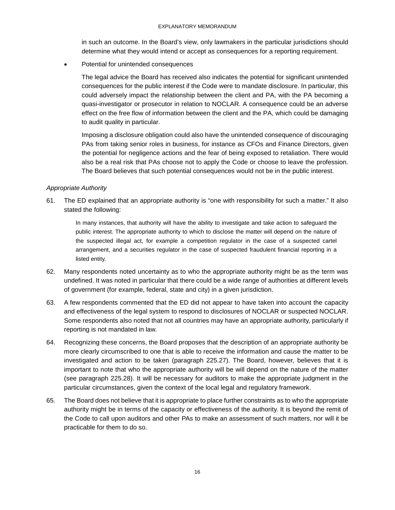#### EXPLANATORY MEMORANDUM

in such an outcome. In the Board's view, only lawmakers in the particular jurisdictions should determine what they would intend or accept as consequences for a reporting requirement.

• Potential for unintended consequences

The legal advice the Board has received also indicates the potential for significant unintended consequences for the public interest if the Code were to mandate disclosure. In particular, this could adversely impact the relationship between the client and PA, with the PA becoming a quasi-investigator or prosecutor in relation to NOCLAR. A consequence could be an adverse effect on the free flow of information between the client and the PA, which could be damaging to audit quality in particular.

Imposing a disclosure obligation could also have the unintended consequence of discouraging PAs from taking senior roles in business, for instance as CFOs and Finance Directors, given the potential for negligence actions and the fear of being exposed to retaliation. There would also be a real risk that PAs choose not to apply the Code or choose to leave the profession. The Board believes that such potential consequences would not be in the public interest.

# *Appropriate Authority*

61. The ED explained that an appropriate authority is "one with responsibility for such a matter." It also stated the following:

In many instances, that authority will have the ability to investigate and take action to safeguard the public interest. The appropriate authority to which to disclose the matter will depend on the nature of the suspected illegal act, for example a competition regulator in the case of a suspected cartel arrangement, and a securities regulator in the case of suspected fraudulent financial reporting in a listed entity.

- 62. Many respondents noted uncertainty as to who the appropriate authority might be as the term was undefined. It was noted in particular that there could be a wide range of authorities at different levels of government (for example, federal, state and city) in a given jurisdiction.
- 63. A few respondents commented that the ED did not appear to have taken into account the capacity and effectiveness of the legal system to respond to disclosures of NOCLAR or suspected NOCLAR. Some respondents also noted that not all countries may have an appropriate authority, particularly if reporting is not mandated in law.
- 64. Recognizing these concerns, the Board proposes that the description of an appropriate authority be more clearly circumscribed to one that is able to receive the information and cause the matter to be investigated and action to be taken (paragraph 225.27). The Board, however, believes that it is important to note that who the appropriate authority will be will depend on the nature of the matter (see paragraph 225.28). It will be necessary for auditors to make the appropriate judgment in the particular circumstances, given the context of the local legal and regulatory framework.
- 65. The Board does not believe that it is appropriate to place further constraints as to who the appropriate authority might be in terms of the capacity or effectiveness of the authority. It is beyond the remit of the Code to call upon auditors and other PAs to make an assessment of such matters, nor will it be practicable for them to do so.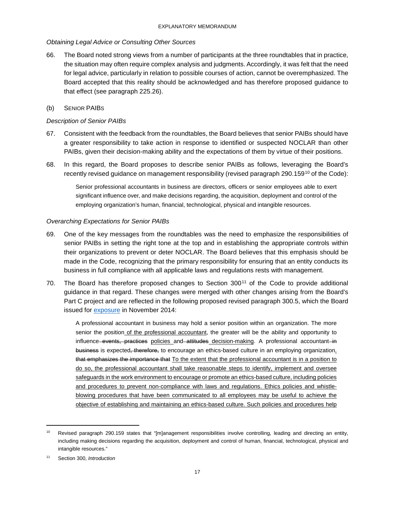#### *Obtaining Legal Advice or Consulting Other Sources*

66. The Board noted strong views from a number of participants at the three roundtables that in practice, the situation may often require complex analysis and judgments. Accordingly, it was felt that the need for legal advice, particularly in relation to possible courses of action, cannot be overemphasized. The Board accepted that this reality should be acknowledged and has therefore proposed guidance to that effect (see paragraph 225.26).

#### (b) SENIOR PAIBS

#### *Description of Senior PAIBs*

- 67. Consistent with the feedback from the roundtables, the Board believes that senior PAIBs should have a greater responsibility to take action in response to identified or suspected NOCLAR than other PAIBs, given their decision-making ability and the expectations of them by virtue of their positions.
- 68. In this regard, the Board proposes to describe senior PAIBs as follows, leveraging the Board's recently revised guidance on management responsibility (revised paragraph 290.159[10](#page-16-0) of the Code):

Senior professional accountants in business are directors, officers or senior employees able to exert significant influence over, and make decisions regarding, the acquisition, deployment and control of the employing organization's human, financial, technological, physical and intangible resources.

#### *Overarching Expectations for Senior PAIBs*

- 69. One of the key messages from the roundtables was the need to emphasize the responsibilities of senior PAIBs in setting the right tone at the top and in establishing the appropriate controls within their organizations to prevent or deter NOCLAR. The Board believes that this emphasis should be made in the Code, recognizing that the primary responsibility for ensuring that an entity conducts its business in full compliance with all applicable laws and regulations rests with management.
- 70. The Board has therefore proposed changes to Section 300[11](#page-16-1) of the Code to provide additional guidance in that regard. These changes were merged with other changes arising from the Board's Part C project and are reflected in the following proposed revised paragraph 300.5, which the Board issued for [exposure](http://www.ifac.org/sites/default/files/publications/files/IESBA-Exposure-Draft-Ethics-Code-Part-C.pdf) in November 2014:

A professional accountant in business may hold a senior position within an organization. The more senior the position of the professional accountant, the greater will be the ability and opportunity to influence–events, practices policies and–attitudes decision-making. A professional accountant–in business is expected, therefore, to encourage an ethics-based culture in an employing organization. that emphasizes the importance that To the extent that the professional accountant is in a position to do so, the professional accountant shall take reasonable steps to identify, implement and oversee safeguards in the work environment to encourage or promote an ethics-based culture, including policies and procedures to prevent non-compliance with laws and regulations. Ethics policies and whistleblowing procedures that have been communicated to all employees may be useful to achieve the objective of establishing and maintaining an ethics-based culture. Such policies and procedures help

 $\overline{\phantom{a}}$ 

<span id="page-16-0"></span><sup>&</sup>lt;sup>10</sup> Revised paragraph 290.159 states that "[m]anagement responsibilities involve controlling, leading and directing an entity, including making decisions regarding the acquisition, deployment and control of human, financial, technological, physical and intangible resources."

<span id="page-16-1"></span>Section 300, *Introduction*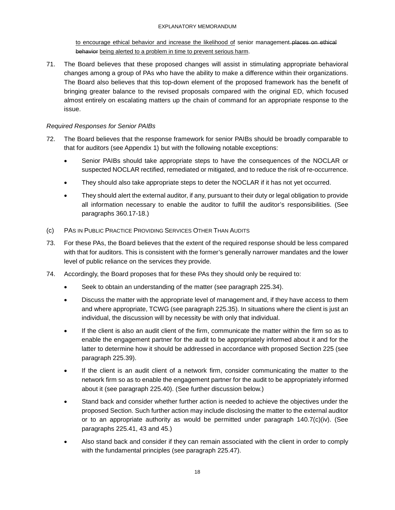#### EXPLANATORY MEMORANDUM

to encourage ethical behavior and increase the likelihood of senior management places on ethical behavior being alerted to a problem in time to prevent serious harm.

71. The Board believes that these proposed changes will assist in stimulating appropriate behavioral changes among a group of PAs who have the ability to make a difference within their organizations. The Board also believes that this top-down element of the proposed framework has the benefit of bringing greater balance to the revised proposals compared with the original ED, which focused almost entirely on escalating matters up the chain of command for an appropriate response to the issue.

# *Required Responses for Senior PAIBs*

- 72. The Board believes that the response framework for senior PAIBs should be broadly comparable to that for auditors (see Appendix 1) but with the following notable exceptions:
	- Senior PAIBs should take appropriate steps to have the consequences of the NOCLAR or suspected NOCLAR rectified, remediated or mitigated, and to reduce the risk of re-occurrence.
	- They should also take appropriate steps to deter the NOCLAR if it has not yet occurred.
	- They should alert the external auditor, if any, pursuant to their duty or legal obligation to provide all information necessary to enable the auditor to fulfill the auditor's responsibilities. (See paragraphs 360.17-18.)
- (c) PAS IN PUBLIC PRACTICE PROVIDING SERVICES OTHER THAN AUDITS
- 73. For these PAs, the Board believes that the extent of the required response should be less compared with that for auditors. This is consistent with the former's generally narrower mandates and the lower level of public reliance on the services they provide.
- 74. Accordingly, the Board proposes that for these PAs they should only be required to:
	- Seek to obtain an understanding of the matter (see paragraph 225.34).
	- Discuss the matter with the appropriate level of management and, if they have access to them and where appropriate, TCWG (see paragraph 225.35). In situations where the client is just an individual, the discussion will by necessity be with only that individual.
	- If the client is also an audit client of the firm, communicate the matter within the firm so as to enable the engagement partner for the audit to be appropriately informed about it and for the latter to determine how it should be addressed in accordance with proposed Section 225 (see paragraph 225.39).
	- If the client is an audit client of a network firm, consider communicating the matter to the network firm so as to enable the engagement partner for the audit to be appropriately informed about it (see paragraph 225.40). (See further discussion below.)
	- Stand back and consider whether further action is needed to achieve the objectives under the proposed Section. Such further action may include disclosing the matter to the external auditor or to an appropriate authority as would be permitted under paragraph  $140.7(c)(iv)$ . (See paragraphs 225.41, 43 and 45.)
	- Also stand back and consider if they can remain associated with the client in order to comply with the fundamental principles (see paragraph 225.47).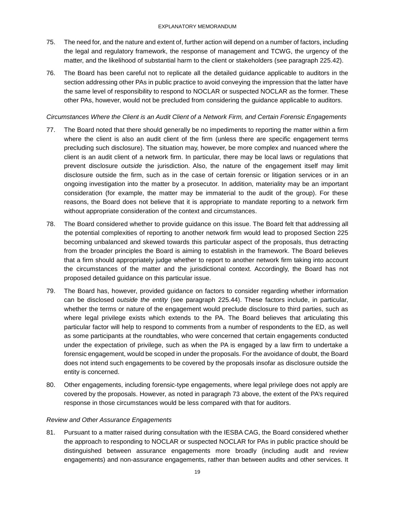- 75. The need for, and the nature and extent of, further action will depend on a number of factors, including the legal and regulatory framework, the response of management and TCWG, the urgency of the matter, and the likelihood of substantial harm to the client or stakeholders (see paragraph 225.42).
- 76. The Board has been careful not to replicate all the detailed guidance applicable to auditors in the section addressing other PAs in public practice to avoid conveying the impression that the latter have the same level of responsibility to respond to NOCLAR or suspected NOCLAR as the former. These other PAs, however, would not be precluded from considering the guidance applicable to auditors.

#### *Circumstances Where the Client is an Audit Client of a Network Firm, and Certain Forensic Engagements*

- 77. The Board noted that there should generally be no impediments to reporting the matter within a firm where the client is also an audit client of the firm (unless there are specific engagement terms precluding such disclosure). The situation may, however, be more complex and nuanced where the client is an audit client of a network firm. In particular, there may be local laws or regulations that prevent disclosure *outside* the jurisdiction. Also, the nature of the engagement itself may limit disclosure outside the firm, such as in the case of certain forensic or litigation services or in an ongoing investigation into the matter by a prosecutor. In addition, materiality may be an important consideration (for example, the matter may be immaterial to the audit of the group). For these reasons, the Board does not believe that it is appropriate to mandate reporting to a network firm without appropriate consideration of the context and circumstances.
- 78. The Board considered whether to provide guidance on this issue. The Board felt that addressing all the potential complexities of reporting to another network firm would lead to proposed Section 225 becoming unbalanced and skewed towards this particular aspect of the proposals, thus detracting from the broader principles the Board is aiming to establish in the framework. The Board believes that a firm should appropriately judge whether to report to another network firm taking into account the circumstances of the matter and the jurisdictional context. Accordingly, the Board has not proposed detailed guidance on this particular issue.
- 79. The Board has, however, provided guidance on factors to consider regarding whether information can be disclosed *outside the entity* (see paragraph 225.44). These factors include, in particular, whether the terms or nature of the engagement would preclude disclosure to third parties, such as where legal privilege exists which extends to the PA. The Board believes that articulating this particular factor will help to respond to comments from a number of respondents to the ED, as well as some participants at the roundtables, who were concerned that certain engagements conducted under the expectation of privilege, such as when the PA is engaged by a law firm to undertake a forensic engagement, would be scoped in under the proposals. For the avoidance of doubt, the Board does not intend such engagements to be covered by the proposals insofar as disclosure outside the entity is concerned.
- 80. Other engagements, including forensic-type engagements, where legal privilege does not apply are covered by the proposals. However, as noted in paragraph 73 above, the extent of the PA's required response in those circumstances would be less compared with that for auditors.

#### *Review and Other Assurance Engagements*

81. Pursuant to a matter raised during consultation with the IESBA CAG, the Board considered whether the approach to responding to NOCLAR or suspected NOCLAR for PAs in public practice should be distinguished between assurance engagements more broadly (including audit and review engagements) and non-assurance engagements, rather than between audits and other services. It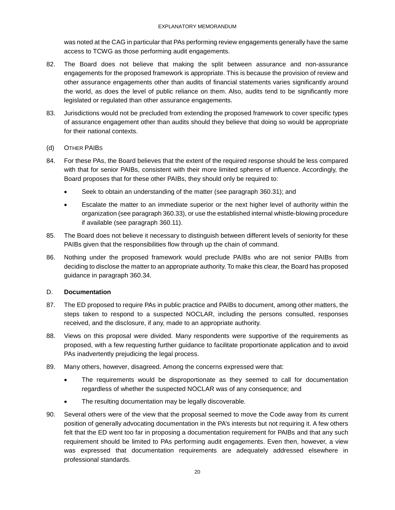was noted at the CAG in particular that PAs performing review engagements generally have the same access to TCWG as those performing audit engagements.

- 82. The Board does not believe that making the split between assurance and non-assurance engagements for the proposed framework is appropriate. This is because the provision of review and other assurance engagements other than audits of financial statements varies significantly around the world, as does the level of public reliance on them. Also, audits tend to be significantly more legislated or regulated than other assurance engagements.
- 83. Jurisdictions would not be precluded from extending the proposed framework to cover specific types of assurance engagement other than audits should they believe that doing so would be appropriate for their national contexts.
- (d) OTHER PAIBS
- 84. For these PAs, the Board believes that the extent of the required response should be less compared with that for senior PAIBs, consistent with their more limited spheres of influence. Accordingly, the Board proposes that for these other PAIBs, they should only be required to:
	- Seek to obtain an understanding of the matter (see paragraph 360.31); and
	- Escalate the matter to an immediate superior or the next higher level of authority within the organization (see paragraph 360.33), or use the established internal whistle-blowing procedure if available (see paragraph 360.11).
- 85. The Board does not believe it necessary to distinguish between different levels of seniority for these PAIBs given that the responsibilities flow through up the chain of command.
- 86. Nothing under the proposed framework would preclude PAIBs who are not senior PAIBs from deciding to disclose the matter to an appropriate authority. To make this clear, the Board has proposed guidance in paragraph 360.34.

# D. **Documentation**

- 87. The ED proposed to require PAs in public practice and PAIBs to document, among other matters, the steps taken to respond to a suspected NOCLAR, including the persons consulted, responses received, and the disclosure, if any, made to an appropriate authority.
- 88. Views on this proposal were divided. Many respondents were supportive of the requirements as proposed, with a few requesting further guidance to facilitate proportionate application and to avoid PAs inadvertently prejudicing the legal process.
- 89. Many others, however, disagreed. Among the concerns expressed were that:
	- The requirements would be disproportionate as they seemed to call for documentation regardless of whether the suspected NOCLAR was of any consequence; and
	- The resulting documentation may be legally discoverable.
- 90. Several others were of the view that the proposal seemed to move the Code away from its current position of generally advocating documentation in the PA's interests but not requiring it. A few others felt that the ED went too far in proposing a documentation requirement for PAIBs and that any such requirement should be limited to PAs performing audit engagements. Even then, however, a view was expressed that documentation requirements are adequately addressed elsewhere in professional standards.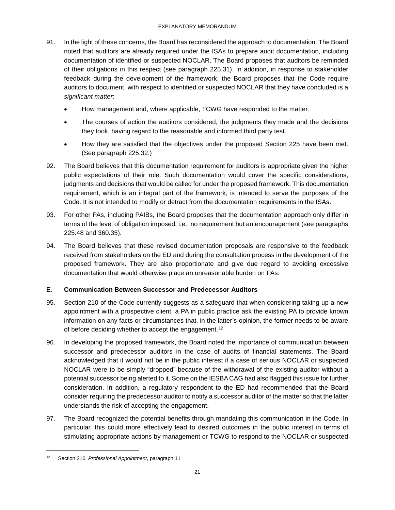- 91. In the light of these concerns, the Board has reconsidered the approach to documentation. The Board noted that auditors are already required under the ISAs to prepare audit documentation, including documentation of identified or suspected NOCLAR. The Board proposes that auditors be reminded of their obligations in this respect (see paragraph 225.31). In addition, in response to stakeholder feedback during the development of the framework, the Board proposes that the Code require auditors to document, with respect to identified or suspected NOCLAR that they have concluded is a *significant matter*:
	- How management and, where applicable, TCWG have responded to the matter.
	- The courses of action the auditors considered, the judgments they made and the decisions they took, having regard to the reasonable and informed third party test.
	- How they are satisfied that the objectives under the proposed Section 225 have been met. (See paragraph 225.32.)
- 92. The Board believes that this documentation requirement for auditors is appropriate given the higher public expectations of their role. Such documentation would cover the specific considerations, judgments and decisions that would be called for under the proposed framework. This documentation requirement, which is an integral part of the framework, is intended to serve the purposes of the Code. It is not intended to modify or detract from the documentation requirements in the ISAs.
- 93. For other PAs, including PAIBs, the Board proposes that the documentation approach only differ in terms of the level of obligation imposed, i.e., no requirement but an encouragement (see paragraphs 225.48 and 360.35).
- 94. The Board believes that these revised documentation proposals are responsive to the feedback received from stakeholders on the ED and during the consultation process in the development of the proposed framework. They are also proportionate and give due regard to avoiding excessive documentation that would otherwise place an unreasonable burden on PAs.

# E. **Communication Between Successor and Predecessor Auditors**

- 95. Section 210 of the Code currently suggests as a safeguard that when considering taking up a new appointment with a prospective client, a PA in public practice ask the existing PA to provide known information on any facts or circumstances that, in the latter's opinion, the former needs to be aware of before deciding whether to accept the engagement.<sup>[12](#page-20-0)</sup>
- 96. In developing the proposed framework, the Board noted the importance of communication between successor and predecessor auditors in the case of audits of financial statements. The Board acknowledged that it would not be in the public interest if a case of serious NOCLAR or suspected NOCLAR were to be simply "dropped" because of the withdrawal of the existing auditor without a potential successor being alerted to it. Some on the IESBA CAG had also flagged this issue for further consideration. In addition, a regulatory respondent to the ED had recommended that the Board consider requiring the predecessor auditor to notify a successor auditor of the matter so that the latter understands the risk of accepting the engagement.
- 97. The Board recognized the potential benefits through mandating this communication in the Code. In particular, this could more effectively lead to desired outcomes in the public interest in terms of stimulating appropriate actions by management or TCWG to respond to the NOCLAR or suspected

 $\overline{\phantom{a}}$ 

<span id="page-20-0"></span><sup>12</sup> Section 210, *Professional Appointment*, paragraph 11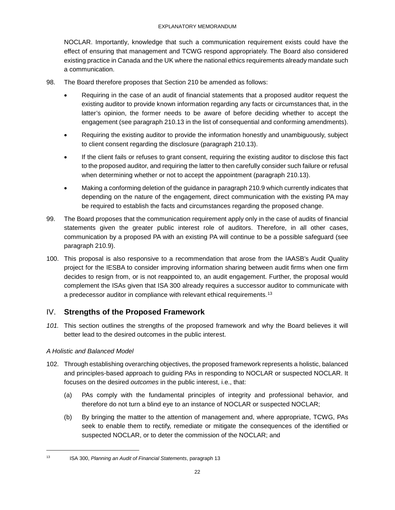NOCLAR. Importantly, knowledge that such a communication requirement exists could have the effect of ensuring that management and TCWG respond appropriately. The Board also considered existing practice in Canada and the UK where the national ethics requirements already mandate such a communication.

- 98. The Board therefore proposes that Section 210 be amended as follows:
	- Requiring in the case of an audit of financial statements that a proposed auditor request the existing auditor to provide known information regarding any facts or circumstances that, in the latter's opinion, the former needs to be aware of before deciding whether to accept the engagement (see paragraph 210.13 in the list of consequential and conforming amendments).
	- Requiring the existing auditor to provide the information honestly and unambiguously, subject to client consent regarding the disclosure (paragraph 210.13).
	- If the client fails or refuses to grant consent, requiring the existing auditor to disclose this fact to the proposed auditor, and requiring the latter to then carefully consider such failure or refusal when determining whether or not to accept the appointment (paragraph 210.13).
	- Making a conforming deletion of the guidance in paragraph 210.9 which currently indicates that depending on the nature of the engagement, direct communication with the existing PA may be required to establish the facts and circumstances regarding the proposed change.
- 99. The Board proposes that the communication requirement apply only in the case of audits of financial statements given the greater public interest role of auditors. Therefore, in all other cases, communication by a proposed PA with an existing PA will continue to be a possible safeguard (see paragraph 210.9).
- 100. This proposal is also responsive to a recommendation that arose from the IAASB's Audit Quality project for the IESBA to consider improving information sharing between audit firms when one firm decides to resign from, or is not reappointed to, an audit engagement. Further, the proposal would complement the ISAs given that ISA 300 already requires a successor auditor to communicate with a predecessor auditor in compliance with relevant ethical requirements.<sup>[13](#page-21-1)</sup>

# <span id="page-21-0"></span>IV. **Strengths of the Proposed Framework**

*101.* This section outlines the strengths of the proposed framework and why the Board believes it will better lead to the desired outcomes in the public interest.

# *A Holistic and Balanced Model*

 $\overline{\phantom{a}}$ 

- 102. Through establishing overarching objectives, the proposed framework represents a holistic, balanced and principles-based approach to guiding PAs in responding to NOCLAR or suspected NOCLAR. It focuses on the desired *outcomes* in the public interest, i.e., that:
	- (a) PAs comply with the fundamental principles of integrity and professional behavior, and therefore do not turn a blind eye to an instance of NOCLAR or suspected NOCLAR;
	- (b) By bringing the matter to the attention of management and, where appropriate, TCWG, PAs seek to enable them to rectify, remediate or mitigate the consequences of the identified or suspected NOCLAR, or to deter the commission of the NOCLAR; and

<span id="page-21-1"></span><sup>13</sup> ISA 300, *Planning an Audit of Financial Statements*, paragraph 13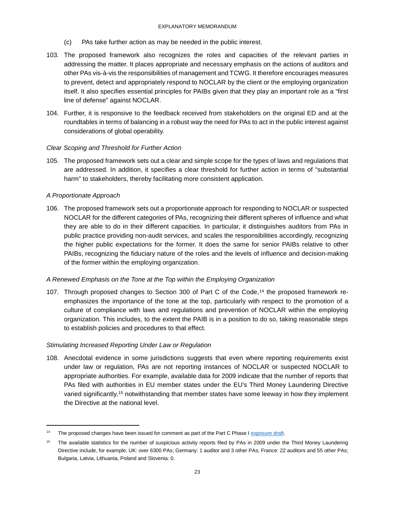- (c) PAs take further action as may be needed in the public interest.
- 103. The proposed framework also recognizes the roles and capacities of the relevant parties in addressing the matter. It places appropriate and necessary emphasis on the actions of auditors and other PAs vis-à-vis the responsibilities of management and TCWG. It therefore encourages measures to prevent, detect and appropriately respond to NOCLAR by the client or the employing organization itself. It also specifies essential principles for PAIBs given that they play an important role as a "first line of defense" against NOCLAR.
- 104. Further, it is responsive to the feedback received from stakeholders on the original ED and at the roundtables in terms of balancing in a robust way the need for PAs to act in the public interest against considerations of global operability.

# *Clear Scoping and Threshold for Further Action*

105. The proposed framework sets out a clear and simple scope for the types of laws and regulations that are addressed. In addition, it specifies a clear threshold for further action in terms of "substantial harm" to stakeholders, thereby facilitating more consistent application.

# *A Proportionate Approach*

 $\overline{\phantom{a}}$ 

106. The proposed framework sets out a proportionate approach for responding to NOCLAR or suspected NOCLAR for the different categories of PAs, recognizing their different spheres of influence and what they are able to do in their different capacities. In particular, it distinguishes auditors from PAs in public practice providing non-audit services, and scales the responsibilities accordingly, recognizing the higher public expectations for the former. It does the same for senior PAIBs relative to other PAIBs, recognizing the fiduciary nature of the roles and the levels of influence and decision-making of the former within the employing organization.

# *A Renewed Emphasis on the Tone at the Top within the Employing Organization*

107. Through proposed changes to Section 300 of Part C of the Code,<sup>[14](#page-22-0)</sup> the proposed framework reemphasizes the importance of the tone at the top, particularly with respect to the promotion of a culture of compliance with laws and regulations and prevention of NOCLAR within the employing organization. This includes, to the extent the PAIB is in a position to do so, taking reasonable steps to establish policies and procedures to that effect.

# *Stimulating Increased Reporting Under Law or Regulation*

108. Anecdotal evidence in some jurisdictions suggests that even where reporting requirements exist under law or regulation, PAs are not reporting instances of NOCLAR or suspected NOCLAR to appropriate authorities. For example, available data for 2009 indicate that the number of reports that PAs filed with authorities in EU member states under the EU's Third Money Laundering Directive varied significantly,[15](#page-22-1) notwithstanding that member states have some leeway in how they implement the Directive at the national level.

<span id="page-22-0"></span><sup>&</sup>lt;sup>14</sup> The proposed changes have been issued for comment as part of the Part C Phase I [exposure draft.](http://www.ifac.org/publications-resources/proposed-changes-part-c-code-addressing-presentation-information-and-pressure)

<span id="page-22-1"></span><sup>15</sup> The available statistics for the number of suspicious activity reports filed by PAs in 2009 under the Third Money Laundering Directive include, for example, UK: over 6300 PAs; Germany: 1 auditor and 3 other PAs; France: 22 auditors and 55 other PAs; Bulgaria, Latvia, Lithuania, Poland and Slovenia: 0.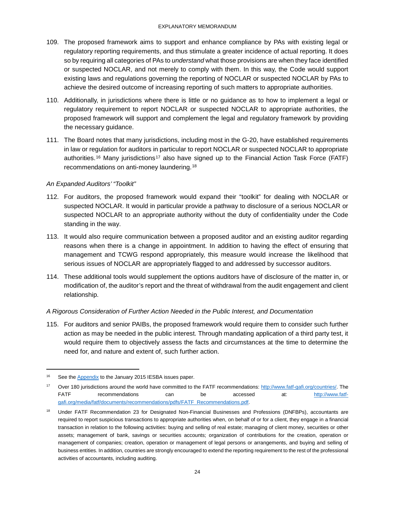- 109. The proposed framework aims to support and enhance compliance by PAs with existing legal or regulatory reporting requirements, and thus stimulate a greater incidence of actual reporting. It does so by requiring all categories of PAs to *understand* what those provisions are when they face identified or suspected NOCLAR, and not merely to comply with them. In this way, the Code would support existing laws and regulations governing the reporting of NOCLAR or suspected NOCLAR by PAs to achieve the desired outcome of increasing reporting of such matters to appropriate authorities.
- 110. Additionally, in jurisdictions where there is little or no guidance as to how to implement a legal or regulatory requirement to report NOCLAR or suspected NOCLAR to appropriate authorities, the proposed framework will support and complement the legal and regulatory framework by providing the necessary guidance.
- 111. The Board notes that many jurisdictions, including most in the G-20, have established requirements in law or regulation for auditors in particular to report NOCLAR or suspected NOCLAR to appropriate authorities.<sup>[16](#page-23-0)</sup> Many jurisdictions<sup>[17](#page-23-1)</sup> also have signed up to the Financial Action Task Force (FATF) recommendations on anti-money laundering.[18](#page-23-2)

#### *An Expanded Auditors' "Toolkit"*

- 112. For auditors, the proposed framework would expand their "toolkit" for dealing with NOCLAR or suspected NOCLAR. It would in particular provide a pathway to disclosure of a serious NOCLAR or suspected NOCLAR to an appropriate authority without the duty of confidentiality under the Code standing in the way.
- 113. It would also require communication between a proposed auditor and an existing auditor regarding reasons when there is a change in appointment. In addition to having the effect of ensuring that management and TCWG respond appropriately, this measure would increase the likelihood that serious issues of NOCLAR are appropriately flagged to and addressed by successor auditors.
- 114. These additional tools would supplement the options auditors have of disclosure of the matter in, or modification of, the auditor's report and the threat of withdrawal from the audit engagement and client relationship.

# *A Rigorous Consideration of Further Action Needed in the Public Interest, and Documentation*

115. For auditors and senior PAIBs, the proposed framework would require them to consider such further action as may be needed in the public interest. Through mandating application of a third party test, it would require them to objectively assess the facts and circumstances at the time to determine the need for, and nature and extent of, such further action.

 $\overline{\phantom{a}}$ 

<span id="page-23-0"></span><sup>&</sup>lt;sup>16</sup> See the [Appendix](http://www.ifac.org/sites/default/files/meetings/files/Agenda%20Item%205-B%20-%20NOCLAR%20-%20Draft%20Rationale%20for%20Revised%20Framework%20(PDF).pdf) to the January 2015 IESBA issues paper.

<span id="page-23-1"></span><sup>&</sup>lt;sup>17</sup> Over 180 jurisdictions around the world have committed to the FATF recommendations[: http://www.fatf-gafi.org/countries/.](http://www.fatf-gafi.org/countries/) The FATF recommendations can be accessed at: [http://www.fatf](http://www.fatf-gafi.org/media/fatf/documents/recommendations/pdfs/FATF_Recommendations.pdf)[gafi.org/media/fatf/documents/recommendations/pdfs/FATF\\_Recommendations.pdf.](http://www.fatf-gafi.org/media/fatf/documents/recommendations/pdfs/FATF_Recommendations.pdf) 

<span id="page-23-2"></span><sup>18</sup> Under FATF Recommendation 23 for Designated Non-Financial Businesses and Professions (DNFBPs), accountants are required to report suspicious transactions to appropriate authorities when, on behalf of or for a client, they engage in a financial transaction in relation to the following activities: buying and selling of real estate; managing of client money, securities or other assets; management of bank, savings or securities accounts; organization of contributions for the creation, operation or management of companies; creation, operation or management of legal persons or arrangements, and buying and selling of business entities. In addition, countries are strongly encouraged to extend the reporting requirement to the rest of the professional activities of accountants, including auditing.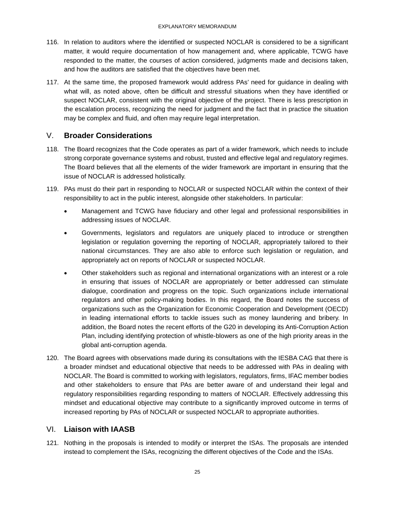- 116. In relation to auditors where the identified or suspected NOCLAR is considered to be a significant matter, it would require documentation of how management and, where applicable, TCWG have responded to the matter, the courses of action considered, judgments made and decisions taken, and how the auditors are satisfied that the objectives have been met.
- 117. At the same time, the proposed framework would address PAs' need for guidance in dealing with what will, as noted above, often be difficult and stressful situations when they have identified or suspect NOCLAR, consistent with the original objective of the project. There is less prescription in the escalation process, recognizing the need for judgment and the fact that in practice the situation may be complex and fluid, and often may require legal interpretation.

# <span id="page-24-0"></span>V. **Broader Considerations**

- 118. The Board recognizes that the Code operates as part of a wider framework, which needs to include strong corporate governance systems and robust, trusted and effective legal and regulatory regimes. The Board believes that all the elements of the wider framework are important in ensuring that the issue of NOCLAR is addressed holistically.
- 119. PAs must do their part in responding to NOCLAR or suspected NOCLAR within the context of their responsibility to act in the public interest, alongside other stakeholders. In particular:
	- Management and TCWG have fiduciary and other legal and professional responsibilities in addressing issues of NOCLAR.
	- Governments, legislators and regulators are uniquely placed to introduce or strengthen legislation or regulation governing the reporting of NOCLAR, appropriately tailored to their national circumstances. They are also able to enforce such legislation or regulation, and appropriately act on reports of NOCLAR or suspected NOCLAR.
	- Other stakeholders such as regional and international organizations with an interest or a role in ensuring that issues of NOCLAR are appropriately or better addressed can stimulate dialogue, coordination and progress on the topic. Such organizations include international regulators and other policy-making bodies. In this regard, the Board notes the success of organizations such as the Organization for Economic Cooperation and Development (OECD) in leading international efforts to tackle issues such as money laundering and bribery. In addition, the Board notes the recent efforts of the G20 in developing its Anti-Corruption Action Plan, including identifying protection of whistle-blowers as one of the high priority areas in the global anti-corruption agenda.
- 120. The Board agrees with observations made during its consultations with the IESBA CAG that there is a broader mindset and educational objective that needs to be addressed with PAs in dealing with NOCLAR. The Board is committed to working with legislators, regulators, firms, IFAC member bodies and other stakeholders to ensure that PAs are better aware of and understand their legal and regulatory responsibilities regarding responding to matters of NOCLAR. Effectively addressing this mindset and educational objective may contribute to a significantly improved outcome in terms of increased reporting by PAs of NOCLAR or suspected NOCLAR to appropriate authorities.

# <span id="page-24-1"></span>VI. **Liaison with IAASB**

121. Nothing in the proposals is intended to modify or interpret the ISAs. The proposals are intended instead to complement the ISAs, recognizing the different objectives of the Code and the ISAs.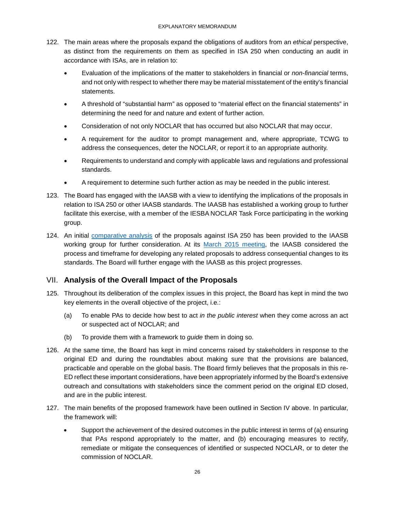- 122. The main areas where the proposals expand the obligations of auditors from an *ethical* perspective, as distinct from the requirements on them as specified in ISA 250 when conducting an audit in accordance with ISAs, are in relation to:
	- Evaluation of the implications of the matter to stakeholders in financial or *non-financial* terms, and not only with respect to whether there may be material misstatement of the entity's financial statements.
	- A threshold of "substantial harm" as opposed to "material effect on the financial statements" in determining the need for and nature and extent of further action.
	- Consideration of not only NOCLAR that has occurred but also NOCLAR that may occur.
	- A requirement for the auditor to prompt management and, where appropriate, TCWG to address the consequences, deter the NOCLAR, or report it to an appropriate authority.
	- Requirements to understand and comply with applicable laws and regulations and professional standards.
	- A requirement to determine such further action as may be needed in the public interest.
- 123. The Board has engaged with the IAASB with a view to identifying the implications of the proposals in relation to ISA 250 or other IAASB standards. The IAASB has established a working group to further facilitate this exercise, with a member of the IESBA NOCLAR Task Force participating in the working group.
- 124. An initial [comparative analysis](http://www2.ifac.org/system/files/meetings/files/Agenda%20Item%202-I%20%28Updated%29%20-%20NOCLAR%20-%20Comparative%20Analysis%20with%20ISA%20250.pdf) of the proposals against ISA 250 has been provided to the IAASB working group for further consideration. At its [March 2015 meeting,](http://www.ifac.org/sites/default/files/meetings/files/20150316-IAASB-Agenda_Item_9-NOCLAR-Cover-FINAL.pdf) the IAASB considered the process and timeframe for developing any related proposals to address consequential changes to its standards. The Board will further engage with the IAASB as this project progresses.

# <span id="page-25-0"></span>VII. **Analysis of the Overall Impact of the Proposals**

- 125. Throughout its deliberation of the complex issues in this project, the Board has kept in mind the two key elements in the overall objective of the project, i.e.:
	- (a) To enable PAs to decide how best to act *in the public interest* when they come across an act or suspected act of NOCLAR; and
	- (b) To provide them with a framework to *guide* them in doing so.
- 126. At the same time, the Board has kept in mind concerns raised by stakeholders in response to the original ED and during the roundtables about making sure that the provisions are balanced, practicable and operable on the global basis. The Board firmly believes that the proposals in this re-ED reflect these important considerations, have been appropriately informed by the Board's extensive outreach and consultations with stakeholders since the comment period on the original ED closed, and are in the public interest.
- 127. The main benefits of the proposed framework have been outlined in Section IV above. In particular, the framework will:
	- Support the achievement of the desired outcomes in the public interest in terms of (a) ensuring that PAs respond appropriately to the matter, and (b) encouraging measures to rectify, remediate or mitigate the consequences of identified or suspected NOCLAR, or to deter the commission of NOCLAR.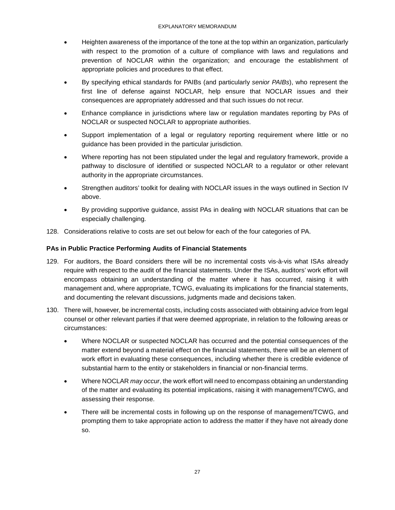- Heighten awareness of the importance of the tone at the top within an organization, particularly with respect to the promotion of a culture of compliance with laws and regulations and prevention of NOCLAR within the organization; and encourage the establishment of appropriate policies and procedures to that effect.
- By specifying ethical standards for PAIBs (and particularly *senior PAIBs*), who represent the first line of defense against NOCLAR, help ensure that NOCLAR issues and their consequences are appropriately addressed and that such issues do not recur.
- Enhance compliance in jurisdictions where law or regulation mandates reporting by PAs of NOCLAR or suspected NOCLAR to appropriate authorities.
- Support implementation of a legal or regulatory reporting requirement where little or no guidance has been provided in the particular jurisdiction.
- Where reporting has not been stipulated under the legal and regulatory framework, provide a pathway to disclosure of identified or suspected NOCLAR to a regulator or other relevant authority in the appropriate circumstances.
- Strengthen auditors' toolkit for dealing with NOCLAR issues in the ways outlined in Section IV above.
- By providing supportive guidance, assist PAs in dealing with NOCLAR situations that can be especially challenging.
- 128. Considerations relative to costs are set out below for each of the four categories of PA.

# **PAs in Public Practice Performing Audits of Financial Statements**

- 129. For auditors, the Board considers there will be no incremental costs vis-à-vis what ISAs already require with respect to the audit of the financial statements. Under the ISAs, auditors' work effort will encompass obtaining an understanding of the matter where it has occurred, raising it with management and, where appropriate, TCWG, evaluating its implications for the financial statements, and documenting the relevant discussions, judgments made and decisions taken.
- 130. There will, however, be incremental costs, including costs associated with obtaining advice from legal counsel or other relevant parties if that were deemed appropriate, in relation to the following areas or circumstances:
	- Where NOCLAR or suspected NOCLAR has occurred and the potential consequences of the matter extend beyond a material effect on the financial statements, there will be an element of work effort in evaluating these consequences, including whether there is credible evidence of substantial harm to the entity or stakeholders in financial or non-financial terms.
	- Where NOCLAR *may occur*, the work effort will need to encompass obtaining an understanding of the matter and evaluating its potential implications, raising it with management/TCWG, and assessing their response.
	- There will be incremental costs in following up on the response of management/TCWG, and prompting them to take appropriate action to address the matter if they have not already done so.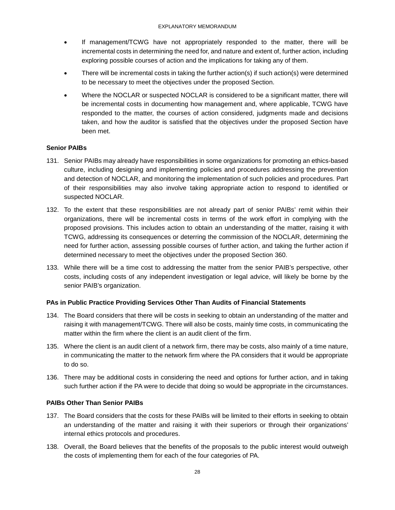- If management/TCWG have not appropriately responded to the matter, there will be incremental costs in determining the need for, and nature and extent of, further action, including exploring possible courses of action and the implications for taking any of them.
- There will be incremental costs in taking the further action(s) if such action(s) were determined to be necessary to meet the objectives under the proposed Section.
- Where the NOCLAR or suspected NOCLAR is considered to be a significant matter, there will be incremental costs in documenting how management and, where applicable, TCWG have responded to the matter, the courses of action considered, judgments made and decisions taken, and how the auditor is satisfied that the objectives under the proposed Section have been met.

# **Senior PAIBs**

- 131. Senior PAIBs may already have responsibilities in some organizations for promoting an ethics-based culture, including designing and implementing policies and procedures addressing the prevention and detection of NOCLAR, and monitoring the implementation of such policies and procedures. Part of their responsibilities may also involve taking appropriate action to respond to identified or suspected NOCLAR.
- 132. To the extent that these responsibilities are not already part of senior PAIBs' remit within their organizations, there will be incremental costs in terms of the work effort in complying with the proposed provisions. This includes action to obtain an understanding of the matter, raising it with TCWG, addressing its consequences or deterring the commission of the NOCLAR, determining the need for further action, assessing possible courses of further action, and taking the further action if determined necessary to meet the objectives under the proposed Section 360.
- 133. While there will be a time cost to addressing the matter from the senior PAIB's perspective, other costs, including costs of any independent investigation or legal advice, will likely be borne by the senior PAIB's organization.

# **PAs in Public Practice Providing Services Other Than Audits of Financial Statements**

- 134. The Board considers that there will be costs in seeking to obtain an understanding of the matter and raising it with management/TCWG. There will also be costs, mainly time costs, in communicating the matter within the firm where the client is an audit client of the firm.
- 135. Where the client is an audit client of a network firm, there may be costs, also mainly of a time nature, in communicating the matter to the network firm where the PA considers that it would be appropriate to do so.
- 136. There may be additional costs in considering the need and options for further action, and in taking such further action if the PA were to decide that doing so would be appropriate in the circumstances.

# **PAIBs Other Than Senior PAIBs**

- 137. The Board considers that the costs for these PAIBs will be limited to their efforts in seeking to obtain an understanding of the matter and raising it with their superiors or through their organizations' internal ethics protocols and procedures.
- 138. Overall, the Board believes that the benefits of the proposals to the public interest would outweigh the costs of implementing them for each of the four categories of PA.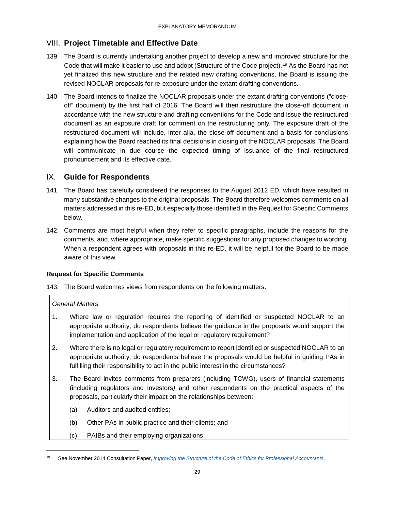# <span id="page-28-0"></span>VIII. **Project Timetable and Effective Date**

- 139. The Board is currently undertaking another project to develop a new and improved structure for the Code that will make it easier to use and adopt (Structure of the Code project).[19](#page-28-2) As the Board has not yet finalized this new structure and the related new drafting conventions, the Board is issuing the revised NOCLAR proposals for re-exposure under the extant drafting conventions.
- 140. The Board intends to finalize the NOCLAR proposals under the extant drafting conventions ("closeoff" document) by the first half of 2016. The Board will then restructure the close-off document in accordance with the new structure and drafting conventions for the Code and issue the restructured document as an exposure draft for comment on the restructuring only. The exposure draft of the restructured document will include, inter alia, the close-off document and a basis for conclusions explaining how the Board reached its final decisions in closing off the NOCLAR proposals. The Board will communicate in due course the expected timing of issuance of the final restructured pronouncement and its effective date.

# <span id="page-28-1"></span>IX. **Guide for Respondents**

- 141. The Board has carefully considered the responses to the August 2012 ED, which have resulted in many substantive changes to the original proposals. The Board therefore welcomes comments on all matters addressed in this re-ED, but especially those identified in the Request for Specific Comments below.
- 142. Comments are most helpful when they refer to specific paragraphs, include the reasons for the comments, and, where appropriate, make specific suggestions for any proposed changes to wording. When a respondent agrees with proposals in this re-ED, it will be helpful for the Board to be made aware of this view.

# **Request for Specific Comments**

143. The Board welcomes views from respondents on the following matters.

# *General Matters*

 $\overline{\phantom{a}}$ 

- 1. Where law or regulation requires the reporting of identified or suspected NOCLAR to an appropriate authority, do respondents believe the guidance in the proposals would support the implementation and application of the legal or regulatory requirement?
- 2. Where there is no legal or regulatory requirement to report identified or suspected NOCLAR to an appropriate authority, do respondents believe the proposals would be helpful in guiding PAs in fulfilling their responsibility to act in the public interest in the circumstances?
- 3. The Board invites comments from preparers (including TCWG), users of financial statements (including regulators and investors*)* and other respondents on the practical aspects of the proposals, particularly their impact on the relationships between:
	- (a) Auditors and audited entities;
	- (b) Other PAs in public practice and their clients; and
	- (c) PAIBs and their employing organizations.

<span id="page-28-2"></span><sup>19</sup> See November 2014 Consultation Paper, *[Improving the Structure of the Code of Ethics for Professional Accountants.](http://www.ifac.org/publications-resources/improving-structure-code-ethics-professional-accountants)*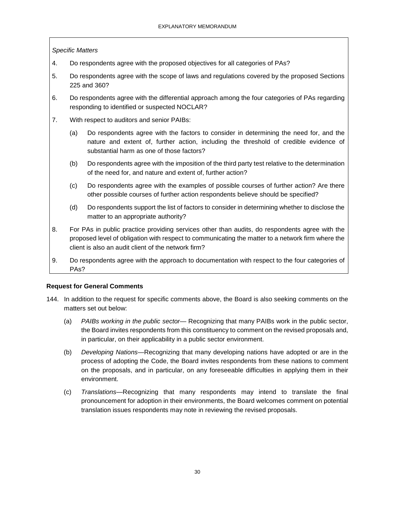# *Specific Matters*

- 4. Do respondents agree with the proposed objectives for all categories of PAs?
- 5. Do respondents agree with the scope of laws and regulations covered by the proposed Sections 225 and 360?
- 6. Do respondents agree with the differential approach among the four categories of PAs regarding responding to identified or suspected NOCLAR?
- 7. With respect to auditors and senior PAIBs:
	- (a) Do respondents agree with the factors to consider in determining the need for, and the nature and extent of, further action, including the threshold of credible evidence of substantial harm as one of those factors?
	- (b) Do respondents agree with the imposition of the third party test relative to the determination of the need for, and nature and extent of, further action?
	- (c) Do respondents agree with the examples of possible courses of further action? Are there other possible courses of further action respondents believe should be specified?
	- (d) Do respondents support the list of factors to consider in determining whether to disclose the matter to an appropriate authority?
- 8. For PAs in public practice providing services other than audits, do respondents agree with the proposed level of obligation with respect to communicating the matter to a network firm where the client is also an audit client of the network firm?
- 9. Do respondents agree with the approach to documentation with respect to the four categories of PAs?

# **Request for General Comments**

- 144. In addition to the request for specific comments above, the Board is also seeking comments on the matters set out below:
	- (a) *PAIBs working in the public sector* Recognizing that many PAIBs work in the public sector, the Board invites respondents from this constituency to comment on the revised proposals and, in particular, on their applicability in a public sector environment.
	- (b) *Developing Nations*—Recognizing that many developing nations have adopted or are in the process of adopting the Code, the Board invites respondents from these nations to comment on the proposals, and in particular, on any foreseeable difficulties in applying them in their environment.
	- (c) *Translations*—Recognizing that many respondents may intend to translate the final pronouncement for adoption in their environments, the Board welcomes comment on potential translation issues respondents may note in reviewing the revised proposals.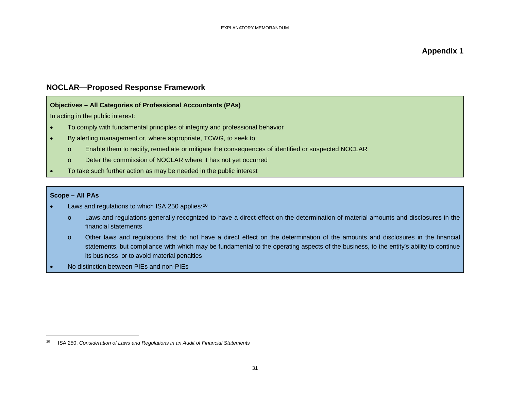# <span id="page-30-1"></span>**NOCLAR—Proposed Response Framework**

# **Objectives – All Categories of Professional Accountants (PAs)**

In acting in the public interest:

- To comply with fundamental principles of integrity and professional behavior
- By alerting management or, where appropriate, TCWG, to seek to:
	- o Enable them to rectify, remediate or mitigate the consequences of identified or suspected NOCLAR
	- o Deter the commission of NOCLAR where it has not yet occurred
- <span id="page-30-0"></span>• To take such further action as may be needed in the public interest

#### **Scope – All PAs**

 $\overline{\phantom{a}}$ 

- Laws and regulations to which ISA 250 applies: $20$ 
	- o Laws and regulations generally recognized to have a direct effect on the determination of material amounts and disclosures in the financial statements
	- o Other laws and regulations that do not have a direct effect on the determination of the amounts and disclosures in the financial statements, but compliance with which may be fundamental to the operating aspects of the business, to the entity's ability to continue its business, or to avoid material penalties
- No distinction between PIEs and non-PIEs

<sup>20</sup> ISA 250, *Consideration of Laws and Regulations in an Audit of Financial Statements*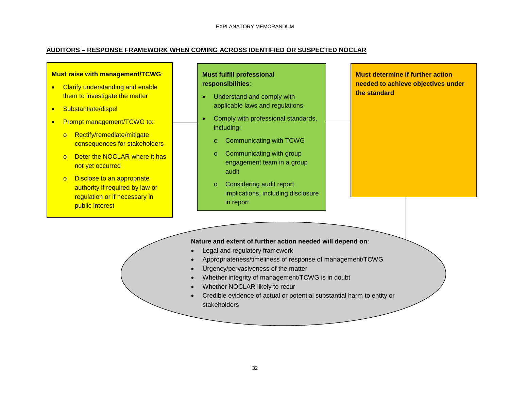# **AUDITORS – RESPONSE FRAMEWORK WHEN COMING ACROSS IDENTIFIED OR SUSPECTED NOCLAR**

#### **Must raise with management/TCWG**: • Clarify understanding and enable them to investigate the matter • Substantiate/dispel • Prompt management/TCWG to: o Rectify/remediate/mitigate consequences for stakeholders o Deter the NOCLAR where it has not yet occurred o Disclose to an appropriate authority if required by law or regulation or if necessary in public interest **Must fulfill professional responsibilities**: • Understand and comply with applicable laws and regulations • Comply with professional standards, including: o Communicating with TCWG o Communicating with group engagement team in a group audit o Considering audit report implications, including disclosure in report **Must determine if further action needed to achieve objectives under the standard Nature and extent of further action needed will depend on**:

- Legal and regulatory framework
- Appropriateness/timeliness of response of management/TCWG
- Urgency/pervasiveness of the matter
- Whether integrity of management/TCWG is in doubt
- Whether NOCLAR likely to recur
- Credible evidence of actual or potential substantial harm to entity or stakeholders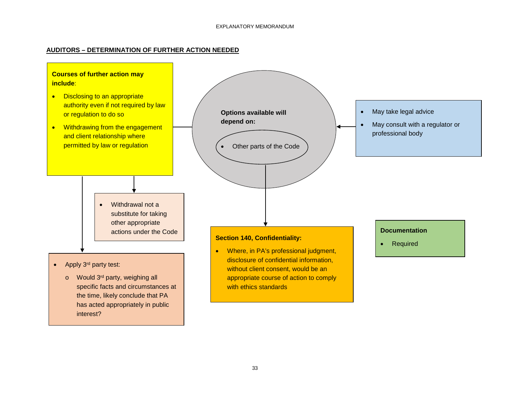#### **AUDITORS – DETERMINATION OF FURTHER ACTION NEEDED**

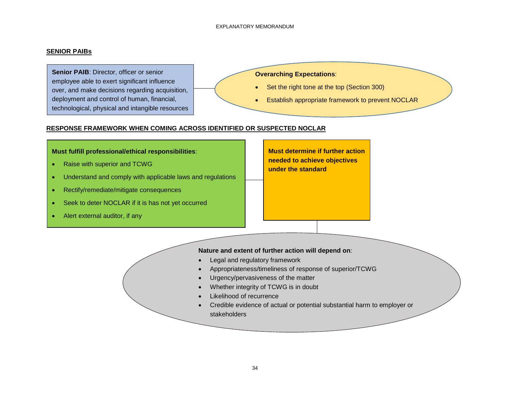# **SENIOR PAIBs**

**Senior PAIB**: Director, officer or senior employee able to exert significant influence over, and make decisions regarding acquisition, deployment and control of human, financial, technological, physical and intangible resources

#### **Overarching Expectations**:

- Set the right tone at the top (Section 300)
- **Establish appropriate framework to prevent NOCLAR**

# **RESPONSE FRAMEWORK WHEN COMING ACROSS IDENTIFIED OR SUSPECTED NOCLAR**

#### **Must fulfill professional/ethical responsibilities**:

- Raise with superior and TCWG
- Understand and comply with applicable laws and regulations
- Rectify/remediate/mitigate consequences
- Seek to deter NOCLAR if it is has not yet occurred
- Alert external auditor, if any

**Must determine if further action needed to achieve objectives under the standard**

#### **Nature and extent of further action will depend on**:

- Legal and regulatory framework
- Appropriateness/timeliness of response of superior/TCWG
- Urgency/pervasiveness of the matter
- Whether integrity of TCWG is in doubt
- Likelihood of recurrence
- Credible evidence of actual or potential substantial harm to employer or stakeholders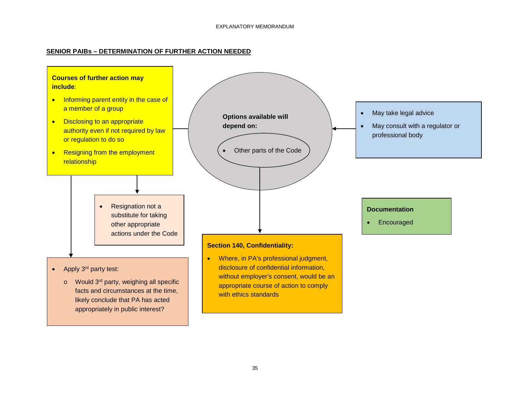# **SENIOR PAIBs – DETERMINATION OF FURTHER ACTION NEEDED**

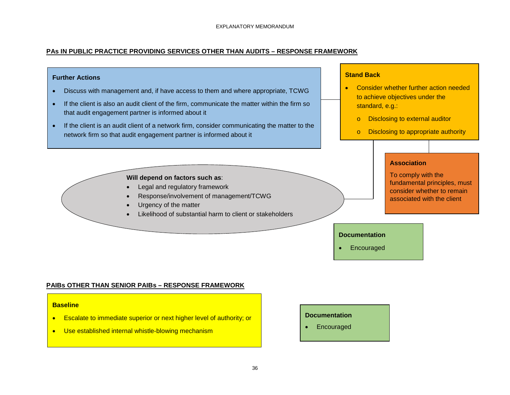# **PAs IN PUBLIC PRACTICE PROVIDING SERVICES OTHER THAN AUDITS – RESPONSE FRAMEWORK**



# **PAIBs OTHER THAN SENIOR PAIBs – RESPONSE FRAMEWORK**

#### **Baseline**

- Escalate to immediate superior or next higher level of authority; or
- Use established internal whistle-blowing mechanism

#### **Documentation**

**Encouraged**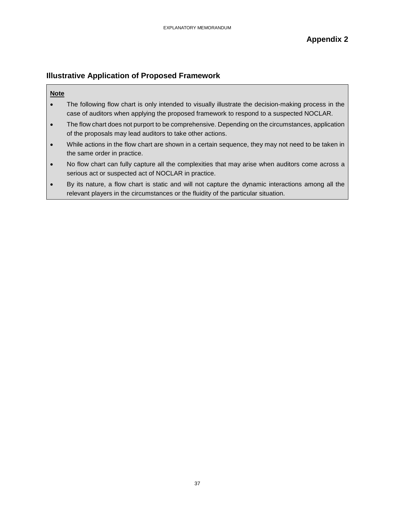# <span id="page-36-0"></span>**Illustrative Application of Proposed Framework**

#### **Note**

- The following flow chart is only intended to visually illustrate the decision-making process in the case of auditors when applying the proposed framework to respond to a suspected NOCLAR.
- The flow chart does not purport to be comprehensive. Depending on the circumstances, application of the proposals may lead auditors to take other actions.
- While actions in the flow chart are shown in a certain sequence, they may not need to be taken in the same order in practice.
- No flow chart can fully capture all the complexities that may arise when auditors come across a serious act or suspected act of NOCLAR in practice.
- By its nature, a flow chart is static and will not capture the dynamic interactions among all the relevant players in the circumstances or the fluidity of the particular situation.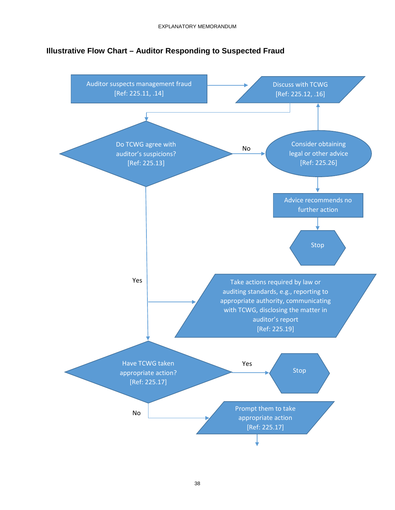

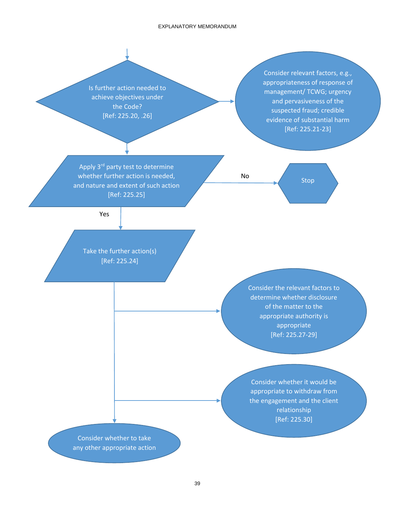#### EXPLANATORY MEMORANDUM

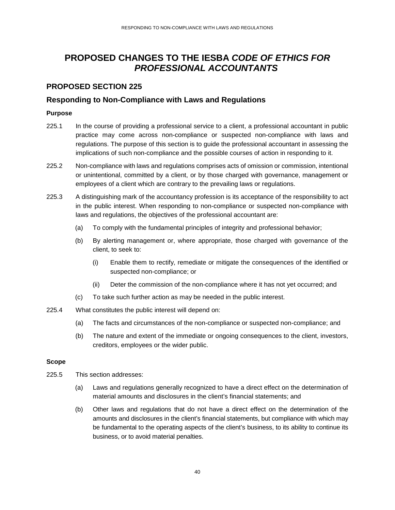# <span id="page-39-0"></span>**PROPOSED CHANGES TO THE IESBA** *CODE OF ETHICS FOR PROFESSIONAL ACCOUNTANTS*

# <span id="page-39-1"></span>**PROPOSED SECTION 225**

# **Responding to Non-Compliance with Laws and Regulations**

# **Purpose**

- 225.1 In the course of providing a professional service to a client, a professional accountant in public practice may come across non-compliance or suspected non-compliance with laws and regulations. The purpose of this section is to guide the professional accountant in assessing the implications of such non-compliance and the possible courses of action in responding to it.
- 225.2 Non-compliance with laws and regulations comprises acts of omission or commission, intentional or unintentional, committed by a client, or by those charged with governance, management or employees of a client which are contrary to the prevailing laws or regulations.
- 225.3 A distinguishing mark of the accountancy profession is its acceptance of the responsibility to act in the public interest. When responding to non-compliance or suspected non-compliance with laws and regulations, the objectives of the professional accountant are:
	- (a) To comply with the fundamental principles of integrity and professional behavior;
	- (b) By alerting management or, where appropriate, those charged with governance of the client, to seek to:
		- (i) Enable them to rectify, remediate or mitigate the consequences of the identified or suspected non-compliance; or
		- (ii) Deter the commission of the non-compliance where it has not yet occurred; and
	- (c) To take such further action as may be needed in the public interest.
- 225.4 What constitutes the public interest will depend on:
	- (a) The facts and circumstances of the non-compliance or suspected non-compliance; and
	- (b) The nature and extent of the immediate or ongoing consequences to the client, investors, creditors, employees or the wider public.

#### **Scope**

- 225.5 This section addresses:
	- (a) Laws and regulations generally recognized to have a direct effect on the determination of material amounts and disclosures in the client's financial statements; and
	- (b) Other laws and regulations that do not have a direct effect on the determination of the amounts and disclosures in the client's financial statements, but compliance with which may be fundamental to the operating aspects of the client's business, to its ability to continue its business, or to avoid material penalties.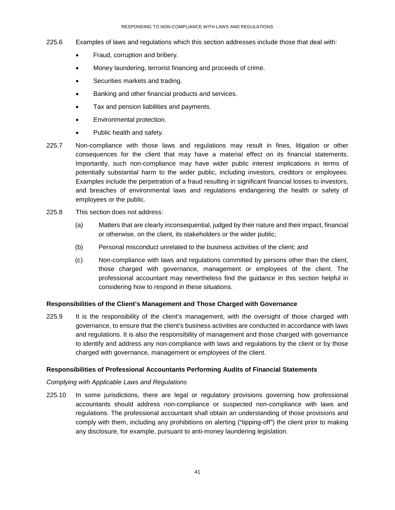- 225.6 Examples of laws and regulations which this section addresses include those that deal with:
	- Fraud, corruption and bribery.
	- Money laundering, terrorist financing and proceeds of crime.
	- Securities markets and trading.
	- Banking and other financial products and services.
	- Tax and pension liabilities and payments.
	- Environmental protection.
	- Public health and safety.
- 225.7 Non-compliance with those laws and regulations may result in fines, litigation or other consequences for the client that may have a material effect on its financial statements. Importantly, such non-compliance may have wider public interest implications in terms of potentially substantial harm to the wider public, including investors, creditors or employees. Examples include the perpetration of a fraud resulting in significant financial losses to investors, and breaches of environmental laws and regulations endangering the health or safety of employees or the public.
- 225.8 This section does not address:
	- (a) Matters that are clearly inconsequential, judged by their nature and their impact, financial or otherwise, on the client, its stakeholders or the wider public;
	- (b) Personal misconduct unrelated to the business activities of the client; and
	- (c) Non-compliance with laws and regulations committed by persons other than the client, those charged with governance, management or employees of the client. The professional accountant may nevertheless find the guidance in this section helpful in considering how to respond in these situations.

# **Responsibilities of the Client's Management and Those Charged with Governance**

225.9 It is the responsibility of the client's management, with the oversight of those charged with governance, to ensure that the client's business activities are conducted in accordance with laws and regulations. It is also the responsibility of management and those charged with governance to identify and address any non-compliance with laws and regulations by the client or by those charged with governance, management or employees of the client.

# **Responsibilities of Professional Accountants Performing Audits of Financial Statements**

# *Complying with Applicable Laws and Regulations*

225.10 In some jurisdictions, there are legal or regulatory provisions governing how professional accountants should address non-compliance or suspected non-compliance with laws and regulations. The professional accountant shall obtain an understanding of those provisions and comply with them, including any prohibitions on alerting ("tipping-off") the client prior to making any disclosure, for example, pursuant to anti-money laundering legislation.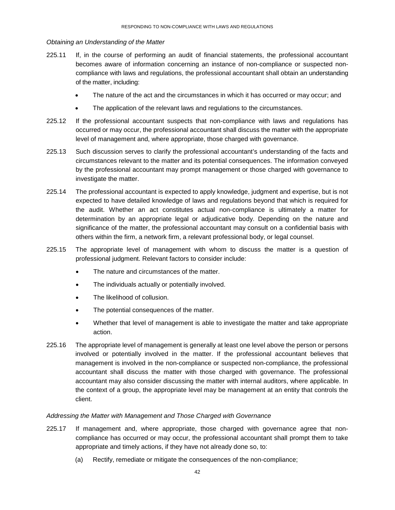#### *Obtaining an Understanding of the Matter*

- 225.11 If, in the course of performing an audit of financial statements, the professional accountant becomes aware of information concerning an instance of non-compliance or suspected noncompliance with laws and regulations, the professional accountant shall obtain an understanding of the matter, including:
	- The nature of the act and the circumstances in which it has occurred or may occur; and
	- The application of the relevant laws and regulations to the circumstances.
- 225.12 If the professional accountant suspects that non-compliance with laws and regulations has occurred or may occur, the professional accountant shall discuss the matter with the appropriate level of management and, where appropriate, those charged with governance.
- 225.13 Such discussion serves to clarify the professional accountant's understanding of the facts and circumstances relevant to the matter and its potential consequences. The information conveyed by the professional accountant may prompt management or those charged with governance to investigate the matter.
- 225.14 The professional accountant is expected to apply knowledge, judgment and expertise, but is not expected to have detailed knowledge of laws and regulations beyond that which is required for the audit. Whether an act constitutes actual non-compliance is ultimately a matter for determination by an appropriate legal or adjudicative body. Depending on the nature and significance of the matter, the professional accountant may consult on a confidential basis with others within the firm, a network firm, a relevant professional body, or legal counsel.
- 225.15 The appropriate level of management with whom to discuss the matter is a question of professional judgment. Relevant factors to consider include:
	- The nature and circumstances of the matter.
	- The individuals actually or potentially involved.
	- The likelihood of collusion.
	- The potential consequences of the matter.
	- Whether that level of management is able to investigate the matter and take appropriate action.
- 225.16 The appropriate level of management is generally at least one level above the person or persons involved or potentially involved in the matter. If the professional accountant believes that management is involved in the non-compliance or suspected non-compliance, the professional accountant shall discuss the matter with those charged with governance. The professional accountant may also consider discussing the matter with internal auditors, where applicable. In the context of a group, the appropriate level may be management at an entity that controls the client.

#### *Addressing the Matter with Management and Those Charged with Governance*

- 225.17 If management and, where appropriate, those charged with governance agree that noncompliance has occurred or may occur, the professional accountant shall prompt them to take appropriate and timely actions, if they have not already done so, to:
	- (a) Rectify, remediate or mitigate the consequences of the non-compliance;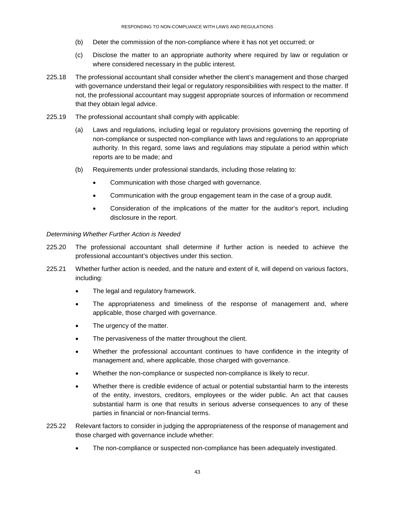- (b) Deter the commission of the non-compliance where it has not yet occurred; or
- (c) Disclose the matter to an appropriate authority where required by law or regulation or where considered necessary in the public interest.
- 225.18 The professional accountant shall consider whether the client's management and those charged with governance understand their legal or regulatory responsibilities with respect to the matter. If not, the professional accountant may suggest appropriate sources of information or recommend that they obtain legal advice.
- 225.19 The professional accountant shall comply with applicable:
	- (a) Laws and regulations, including legal or regulatory provisions governing the reporting of non-compliance or suspected non-compliance with laws and regulations to an appropriate authority. In this regard, some laws and regulations may stipulate a period within which reports are to be made; and
	- (b) Requirements under professional standards, including those relating to:
		- Communication with those charged with governance.
		- Communication with the group engagement team in the case of a group audit.
		- Consideration of the implications of the matter for the auditor's report, including disclosure in the report.

#### *Determining Whether Further Action is Needed*

- 225.20 The professional accountant shall determine if further action is needed to achieve the professional accountant's objectives under this section.
- 225.21 Whether further action is needed, and the nature and extent of it, will depend on various factors, including:
	- The legal and regulatory framework.
	- The appropriateness and timeliness of the response of management and, where applicable, those charged with governance.
	- The urgency of the matter.
	- The pervasiveness of the matter throughout the client.
	- Whether the professional accountant continues to have confidence in the integrity of management and, where applicable, those charged with governance.
	- Whether the non-compliance or suspected non-compliance is likely to recur.
	- Whether there is credible evidence of actual or potential substantial harm to the interests of the entity, investors, creditors, employees or the wider public. An act that causes substantial harm is one that results in serious adverse consequences to any of these parties in financial or non-financial terms.
- 225.22 Relevant factors to consider in judging the appropriateness of the response of management and those charged with governance include whether:
	- The non-compliance or suspected non-compliance has been adequately investigated.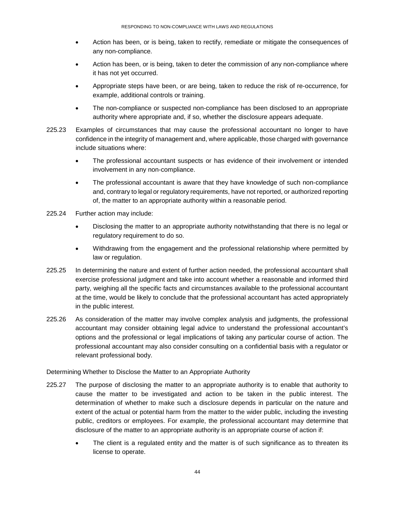- Action has been, or is being, taken to rectify, remediate or mitigate the consequences of any non-compliance.
- Action has been, or is being, taken to deter the commission of any non-compliance where it has not yet occurred.
- Appropriate steps have been, or are being, taken to reduce the risk of re-occurrence, for example, additional controls or training.
- The non-compliance or suspected non-compliance has been disclosed to an appropriate authority where appropriate and, if so, whether the disclosure appears adequate.
- 225.23 Examples of circumstances that may cause the professional accountant no longer to have confidence in the integrity of management and, where applicable, those charged with governance include situations where:
	- The professional accountant suspects or has evidence of their involvement or intended involvement in any non-compliance.
	- The professional accountant is aware that they have knowledge of such non-compliance and, contrary to legal or regulatory requirements, have not reported, or authorized reporting of, the matter to an appropriate authority within a reasonable period.
- 225.24 Further action may include:
	- Disclosing the matter to an appropriate authority notwithstanding that there is no legal or regulatory requirement to do so.
	- Withdrawing from the engagement and the professional relationship where permitted by law or regulation.
- 225.25 In determining the nature and extent of further action needed, the professional accountant shall exercise professional judgment and take into account whether a reasonable and informed third party, weighing all the specific facts and circumstances available to the professional accountant at the time, would be likely to conclude that the professional accountant has acted appropriately in the public interest.
- 225.26 As consideration of the matter may involve complex analysis and judgments, the professional accountant may consider obtaining legal advice to understand the professional accountant's options and the professional or legal implications of taking any particular course of action. The professional accountant may also consider consulting on a confidential basis with a regulator or relevant professional body.

#### Determining Whether to Disclose the Matter to an Appropriate Authority

- 225.27 The purpose of disclosing the matter to an appropriate authority is to enable that authority to cause the matter to be investigated and action to be taken in the public interest. The determination of whether to make such a disclosure depends in particular on the nature and extent of the actual or potential harm from the matter to the wider public, including the investing public, creditors or employees. For example, the professional accountant may determine that disclosure of the matter to an appropriate authority is an appropriate course of action if:
	- The client is a regulated entity and the matter is of such significance as to threaten its license to operate.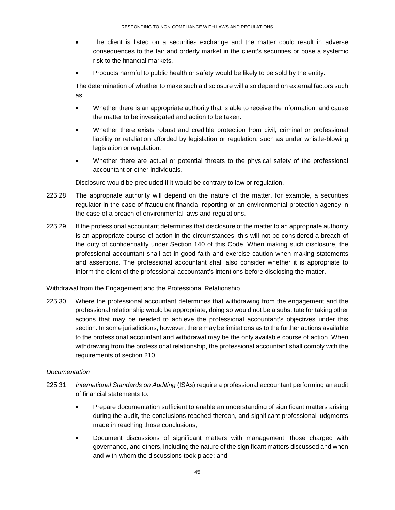- The client is listed on a securities exchange and the matter could result in adverse consequences to the fair and orderly market in the client's securities or pose a systemic risk to the financial markets.
- Products harmful to public health or safety would be likely to be sold by the entity.

The determination of whether to make such a disclosure will also depend on external factors such as:

- Whether there is an appropriate authority that is able to receive the information, and cause the matter to be investigated and action to be taken.
- Whether there exists robust and credible protection from civil, criminal or professional liability or retaliation afforded by legislation or regulation, such as under whistle-blowing legislation or regulation.
- Whether there are actual or potential threats to the physical safety of the professional accountant or other individuals.

Disclosure would be precluded if it would be contrary to law or regulation.

- 225.28 The appropriate authority will depend on the nature of the matter, for example, a securities regulator in the case of fraudulent financial reporting or an environmental protection agency in the case of a breach of environmental laws and regulations.
- 225.29 If the professional accountant determines that disclosure of the matter to an appropriate authority is an appropriate course of action in the circumstances, this will not be considered a breach of the duty of confidentiality under Section 140 of this Code. When making such disclosure, the professional accountant shall act in good faith and exercise caution when making statements and assertions. The professional accountant shall also consider whether it is appropriate to inform the client of the professional accountant's intentions before disclosing the matter.

# Withdrawal from the Engagement and the Professional Relationship

225.30 Where the professional accountant determines that withdrawing from the engagement and the professional relationship would be appropriate, doing so would not be a substitute for taking other actions that may be needed to achieve the professional accountant's objectives under this section. In some jurisdictions, however, there may be limitations as to the further actions available to the professional accountant and withdrawal may be the only available course of action. When withdrawing from the professional relationship, the professional accountant shall comply with the requirements of section 210.

#### *Documentation*

- 225.31 *International Standards on Auditing* (ISAs) require a professional accountant performing an audit of financial statements to:
	- Prepare documentation sufficient to enable an understanding of significant matters arising during the audit, the conclusions reached thereon, and significant professional judgments made in reaching those conclusions;
	- Document discussions of significant matters with management, those charged with governance, and others, including the nature of the significant matters discussed and when and with whom the discussions took place; and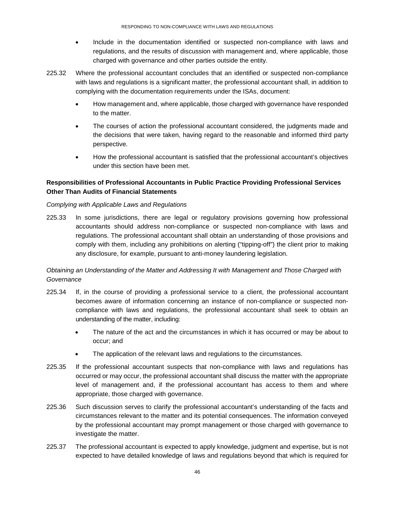- Include in the documentation identified or suspected non-compliance with laws and regulations, and the results of discussion with management and, where applicable, those charged with governance and other parties outside the entity.
- 225.32 Where the professional accountant concludes that an identified or suspected non-compliance with laws and regulations is a significant matter, the professional accountant shall, in addition to complying with the documentation requirements under the ISAs, document:
	- How management and, where applicable, those charged with governance have responded to the matter.
	- The courses of action the professional accountant considered, the judgments made and the decisions that were taken, having regard to the reasonable and informed third party perspective.
	- How the professional accountant is satisfied that the professional accountant's objectives under this section have been met.

# **Responsibilities of Professional Accountants in Public Practice Providing Professional Services Other Than Audits of Financial Statements**

# *Complying with Applicable Laws and Regulations*

225.33 In some jurisdictions, there are legal or regulatory provisions governing how professional accountants should address non-compliance or suspected non-compliance with laws and regulations. The professional accountant shall obtain an understanding of those provisions and comply with them, including any prohibitions on alerting ("tipping-off") the client prior to making any disclosure, for example, pursuant to anti-money laundering legislation.

# *Obtaining an Understanding of the Matter and Addressing It with Management and Those Charged with Governance*

- 225.34 If, in the course of providing a professional service to a client, the professional accountant becomes aware of information concerning an instance of non-compliance or suspected noncompliance with laws and regulations, the professional accountant shall seek to obtain an understanding of the matter, including:
	- The nature of the act and the circumstances in which it has occurred or may be about to occur; and
	- The application of the relevant laws and regulations to the circumstances.
- 225.35 If the professional accountant suspects that non-compliance with laws and regulations has occurred or may occur, the professional accountant shall discuss the matter with the appropriate level of management and, if the professional accountant has access to them and where appropriate, those charged with governance.
- 225.36 Such discussion serves to clarify the professional accountant's understanding of the facts and circumstances relevant to the matter and its potential consequences. The information conveyed by the professional accountant may prompt management or those charged with governance to investigate the matter.
- 225.37 The professional accountant is expected to apply knowledge, judgment and expertise, but is not expected to have detailed knowledge of laws and regulations beyond that which is required for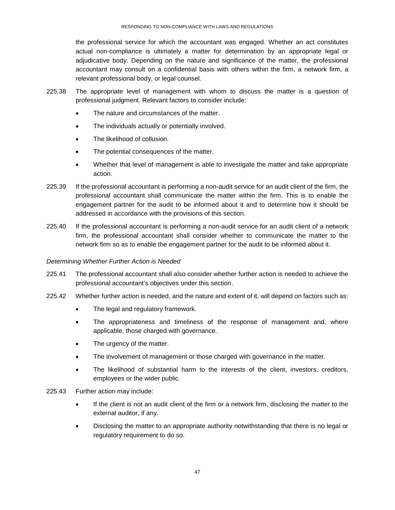the professional service for which the accountant was engaged. Whether an act constitutes actual non-compliance is ultimately a matter for determination by an appropriate legal or adjudicative body. Depending on the nature and significance of the matter, the professional accountant may consult on a confidential basis with others within the firm, a network firm, a relevant professional body, or legal counsel.

- 225.38 The appropriate level of management with whom to discuss the matter is a question of professional judgment. Relevant factors to consider include:
	- The nature and circumstances of the matter.
	- The individuals actually or potentially involved.
	- The likelihood of collusion.
	- The potential consequences of the matter.
	- Whether that level of management is able to investigate the matter and take appropriate action.
- 225.39 If the professional accountant is performing a non-audit service for an audit client of the firm, the professional accountant shall communicate the matter within the firm. This is to enable the engagement partner for the audit to be informed about it and to determine how it should be addressed in accordance with the provisions of this section.
- 225.40 If the professional accountant is performing a non-audit service for an audit client of a network firm, the professional accountant shall consider whether to communicate the matter to the network firm so as to enable the engagement partner for the audit to be informed about it.

#### *Determining Whether Further Action is Needed*

- 225.41 The professional accountant shall also consider whether further action is needed to achieve the professional accountant's objectives under this section.
- 225.42 Whether further action is needed, and the nature and extent of it, will depend on factors such as:
	- The legal and regulatory framework.
	- The appropriateness and timeliness of the response of management and, where applicable, those charged with governance.
	- The urgency of the matter.
	- The involvement of management or those charged with governance in the matter.
	- The likelihood of substantial harm to the interests of the client, investors, creditors, employees or the wider public.
- 225.43 Further action may include:
	- If the client is not an audit client of the firm or a network firm, disclosing the matter to the external auditor, if any.
	- Disclosing the matter to an appropriate authority notwithstanding that there is no legal or regulatory requirement to do so.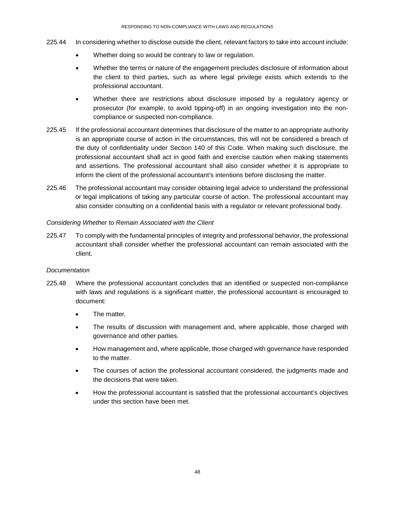- 225.44 In considering whether to disclose outside the client, relevant factors to take into account include:
	- Whether doing so would be contrary to law or regulation.
	- Whether the terms or nature of the engagement precludes disclosure of information about the client to third parties, such as where legal privilege exists which extends to the professional accountant.
	- Whether there are restrictions about disclosure imposed by a regulatory agency or prosecutor (for example, to avoid tipping-off) in an ongoing investigation into the noncompliance or suspected non-compliance.
- 225.45 If the professional accountant determines that disclosure of the matter to an appropriate authority is an appropriate course of action in the circumstances, this will not be considered a breach of the duty of confidentiality under Section 140 of this Code. When making such disclosure, the professional accountant shall act in good faith and exercise caution when making statements and assertions. The professional accountant shall also consider whether it is appropriate to inform the client of the professional accountant's intentions before disclosing the matter.
- 225.46 The professional accountant may consider obtaining legal advice to understand the professional or legal implications of taking any particular course of action. The professional accountant may also consider consulting on a confidential basis with a regulator or relevant professional body.

# *Considering Whether to Remain Associated with the Client*

225.47 To comply with the fundamental principles of integrity and professional behavior, the professional accountant shall consider whether the professional accountant can remain associated with the client.

# *Documentation*

- 225.48 Where the professional accountant concludes that an identified or suspected non-compliance with laws and regulations is a significant matter, the professional accountant is encouraged to document:
	- The matter.
	- The results of discussion with management and, where applicable, those charged with governance and other parties.
	- How management and, where applicable, those charged with governance have responded to the matter.
	- The courses of action the professional accountant considered, the judgments made and the decisions that were taken.
	- How the professional accountant is satisfied that the professional accountant's objectives under this section have been met.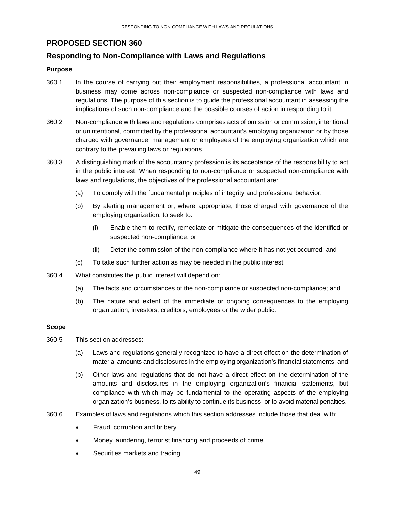# <span id="page-48-0"></span>**PROPOSED SECTION 360**

# **Responding to Non-Compliance with Laws and Regulations**

#### **Purpose**

- 360.1 In the course of carrying out their employment responsibilities, a professional accountant in business may come across non-compliance or suspected non-compliance with laws and regulations. The purpose of this section is to guide the professional accountant in assessing the implications of such non-compliance and the possible courses of action in responding to it.
- 360.2 Non-compliance with laws and regulations comprises acts of omission or commission, intentional or unintentional, committed by the professional accountant's employing organization or by those charged with governance, management or employees of the employing organization which are contrary to the prevailing laws or regulations.
- 360.3 A distinguishing mark of the accountancy profession is its acceptance of the responsibility to act in the public interest. When responding to non-compliance or suspected non-compliance with laws and regulations, the objectives of the professional accountant are:
	- (a) To comply with the fundamental principles of integrity and professional behavior;
	- (b) By alerting management or, where appropriate, those charged with governance of the employing organization, to seek to:
		- (i) Enable them to rectify, remediate or mitigate the consequences of the identified or suspected non-compliance; or
		- (ii) Deter the commission of the non-compliance where it has not yet occurred; and
	- (c) To take such further action as may be needed in the public interest.
- 360.4 What constitutes the public interest will depend on:
	- (a) The facts and circumstances of the non-compliance or suspected non-compliance; and
	- (b) The nature and extent of the immediate or ongoing consequences to the employing organization, investors, creditors, employees or the wider public.

# **Scope**

- 360.5 This section addresses:
	- (a) Laws and regulations generally recognized to have a direct effect on the determination of material amounts and disclosures in the employing organization's financial statements; and
	- (b) Other laws and regulations that do not have a direct effect on the determination of the amounts and disclosures in the employing organization's financial statements, but compliance with which may be fundamental to the operating aspects of the employing organization's business, to its ability to continue its business, or to avoid material penalties.
- 360.6 Examples of laws and regulations which this section addresses include those that deal with:
	- Fraud, corruption and bribery.
	- Money laundering, terrorist financing and proceeds of crime.
	- Securities markets and trading.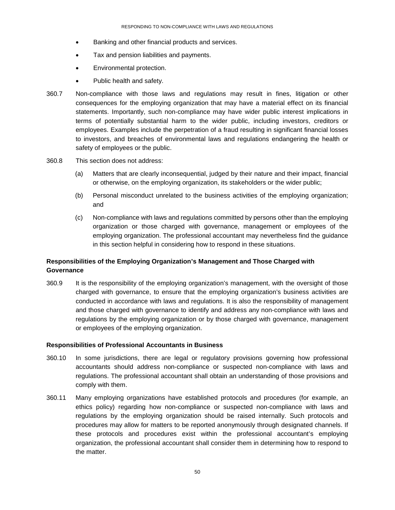- Banking and other financial products and services.
- Tax and pension liabilities and payments.
- Environmental protection.
- Public health and safety.
- 360.7 Non-compliance with those laws and regulations may result in fines, litigation or other consequences for the employing organization that may have a material effect on its financial statements. Importantly, such non-compliance may have wider public interest implications in terms of potentially substantial harm to the wider public, including investors, creditors or employees. Examples include the perpetration of a fraud resulting in significant financial losses to investors, and breaches of environmental laws and regulations endangering the health or safety of employees or the public.
- 360.8 This section does not address:
	- (a) Matters that are clearly inconsequential, judged by their nature and their impact, financial or otherwise, on the employing organization, its stakeholders or the wider public;
	- (b) Personal misconduct unrelated to the business activities of the employing organization; and
	- (c) Non-compliance with laws and regulations committed by persons other than the employing organization or those charged with governance, management or employees of the employing organization. The professional accountant may nevertheless find the guidance in this section helpful in considering how to respond in these situations.

# **Responsibilities of the Employing Organization's Management and Those Charged with Governance**

360.9 It is the responsibility of the employing organization's management, with the oversight of those charged with governance, to ensure that the employing organization's business activities are conducted in accordance with laws and regulations. It is also the responsibility of management and those charged with governance to identify and address any non-compliance with laws and regulations by the employing organization or by those charged with governance, management or employees of the employing organization.

#### **Responsibilities of Professional Accountants in Business**

- 360.10 In some jurisdictions, there are legal or regulatory provisions governing how professional accountants should address non-compliance or suspected non-compliance with laws and regulations. The professional accountant shall obtain an understanding of those provisions and comply with them.
- 360.11 Many employing organizations have established protocols and procedures (for example, an ethics policy) regarding how non-compliance or suspected non-compliance with laws and regulations by the employing organization should be raised internally. Such protocols and procedures may allow for matters to be reported anonymously through designated channels. If these protocols and procedures exist within the professional accountant's employing organization, the professional accountant shall consider them in determining how to respond to the matter.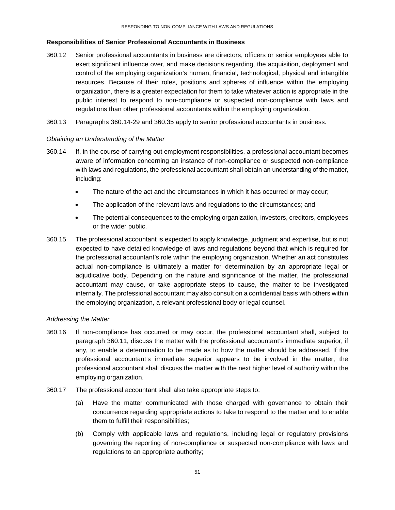#### **Responsibilities of Senior Professional Accountants in Business**

- 360.12 Senior professional accountants in business are directors, officers or senior employees able to exert significant influence over, and make decisions regarding, the acquisition, deployment and control of the employing organization's human, financial, technological, physical and intangible resources. Because of their roles, positions and spheres of influence within the employing organization, there is a greater expectation for them to take whatever action is appropriate in the public interest to respond to non-compliance or suspected non-compliance with laws and regulations than other professional accountants within the employing organization.
- 360.13 Paragraphs 360.14-29 and 360.35 apply to senior professional accountants in business.

#### *Obtaining an Understanding of the Matter*

- 360.14 If, in the course of carrying out employment responsibilities, a professional accountant becomes aware of information concerning an instance of non-compliance or suspected non-compliance with laws and regulations, the professional accountant shall obtain an understanding of the matter, including:
	- The nature of the act and the circumstances in which it has occurred or may occur;
	- The application of the relevant laws and regulations to the circumstances; and
	- The potential consequences to the employing organization, investors, creditors, employees or the wider public.
- 360.15 The professional accountant is expected to apply knowledge, judgment and expertise, but is not expected to have detailed knowledge of laws and regulations beyond that which is required for the professional accountant's role within the employing organization. Whether an act constitutes actual non-compliance is ultimately a matter for determination by an appropriate legal or adjudicative body. Depending on the nature and significance of the matter, the professional accountant may cause, or take appropriate steps to cause, the matter to be investigated internally. The professional accountant may also consult on a confidential basis with others within the employing organization, a relevant professional body or legal counsel.

# *Addressing the Matter*

- 360.16 If non-compliance has occurred or may occur, the professional accountant shall, subject to paragraph 360.11, discuss the matter with the professional accountant's immediate superior, if any, to enable a determination to be made as to how the matter should be addressed. If the professional accountant's immediate superior appears to be involved in the matter, the professional accountant shall discuss the matter with the next higher level of authority within the employing organization.
- 360.17 The professional accountant shall also take appropriate steps to:
	- (a) Have the matter communicated with those charged with governance to obtain their concurrence regarding appropriate actions to take to respond to the matter and to enable them to fulfill their responsibilities;
	- (b) Comply with applicable laws and regulations, including legal or regulatory provisions governing the reporting of non-compliance or suspected non-compliance with laws and regulations to an appropriate authority;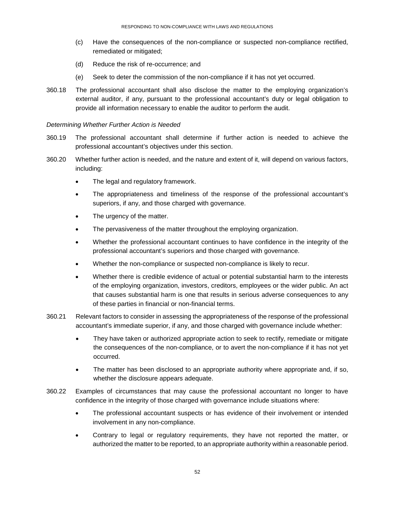- (c) Have the consequences of the non-compliance or suspected non-compliance rectified, remediated or mitigated;
- (d) Reduce the risk of re-occurrence; and
- (e) Seek to deter the commission of the non-compliance if it has not yet occurred.
- 360.18 The professional accountant shall also disclose the matter to the employing organization's external auditor, if any, pursuant to the professional accountant's duty or legal obligation to provide all information necessary to enable the auditor to perform the audit.

#### *Determining Whether Further Action is Needed*

- 360.19 The professional accountant shall determine if further action is needed to achieve the professional accountant's objectives under this section.
- 360.20 Whether further action is needed, and the nature and extent of it, will depend on various factors, including:
	- The legal and regulatory framework.
	- The appropriateness and timeliness of the response of the professional accountant's superiors, if any, and those charged with governance.
	- The urgency of the matter.
	- The pervasiveness of the matter throughout the employing organization.
	- Whether the professional accountant continues to have confidence in the integrity of the professional accountant's superiors and those charged with governance.
	- Whether the non-compliance or suspected non-compliance is likely to recur.
	- Whether there is credible evidence of actual or potential substantial harm to the interests of the employing organization, investors, creditors, employees or the wider public. An act that causes substantial harm is one that results in serious adverse consequences to any of these parties in financial or non-financial terms.
- 360.21 Relevant factors to consider in assessing the appropriateness of the response of the professional accountant's immediate superior, if any, and those charged with governance include whether:
	- They have taken or authorized appropriate action to seek to rectify, remediate or mitigate the consequences of the non-compliance, or to avert the non-compliance if it has not yet occurred.
	- The matter has been disclosed to an appropriate authority where appropriate and, if so, whether the disclosure appears adequate.
- 360.22 Examples of circumstances that may cause the professional accountant no longer to have confidence in the integrity of those charged with governance include situations where:
	- The professional accountant suspects or has evidence of their involvement or intended involvement in any non-compliance.
	- Contrary to legal or regulatory requirements, they have not reported the matter, or authorized the matter to be reported, to an appropriate authority within a reasonable period.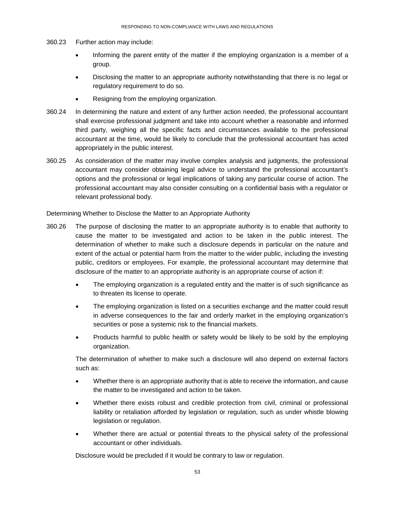- 360.23 Further action may include:
	- Informing the parent entity of the matter if the employing organization is a member of a group.
	- Disclosing the matter to an appropriate authority notwithstanding that there is no legal or regulatory requirement to do so.
	- Resigning from the employing organization.
- 360.24 In determining the nature and extent of any further action needed, the professional accountant shall exercise professional judgment and take into account whether a reasonable and informed third party, weighing all the specific facts and circumstances available to the professional accountant at the time, would be likely to conclude that the professional accountant has acted appropriately in the public interest.
- 360.25 As consideration of the matter may involve complex analysis and judgments, the professional accountant may consider obtaining legal advice to understand the professional accountant's options and the professional or legal implications of taking any particular course of action. The professional accountant may also consider consulting on a confidential basis with a regulator or relevant professional body.

Determining Whether to Disclose the Matter to an Appropriate Authority

- 360.26 The purpose of disclosing the matter to an appropriate authority is to enable that authority to cause the matter to be investigated and action to be taken in the public interest. The determination of whether to make such a disclosure depends in particular on the nature and extent of the actual or potential harm from the matter to the wider public, including the investing public, creditors or employees. For example, the professional accountant may determine that disclosure of the matter to an appropriate authority is an appropriate course of action if:
	- The employing organization is a regulated entity and the matter is of such significance as to threaten its license to operate.
	- The employing organization is listed on a securities exchange and the matter could result in adverse consequences to the fair and orderly market in the employing organization's securities or pose a systemic risk to the financial markets.
	- Products harmful to public health or safety would be likely to be sold by the employing organization.

The determination of whether to make such a disclosure will also depend on external factors such as:

- Whether there is an appropriate authority that is able to receive the information, and cause the matter to be investigated and action to be taken.
- Whether there exists robust and credible protection from civil, criminal or professional liability or retaliation afforded by legislation or regulation, such as under whistle blowing legislation or regulation.
- Whether there are actual or potential threats to the physical safety of the professional accountant or other individuals.

Disclosure would be precluded if it would be contrary to law or regulation.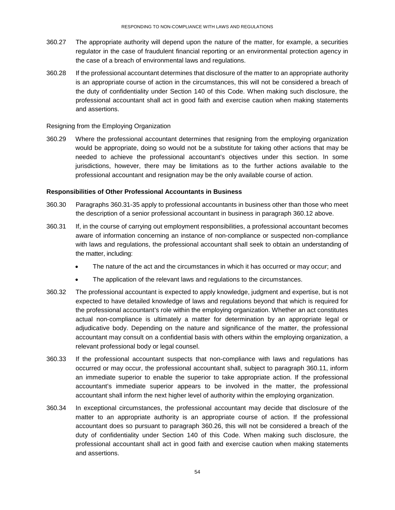- 360.27 The appropriate authority will depend upon the nature of the matter, for example, a securities regulator in the case of fraudulent financial reporting or an environmental protection agency in the case of a breach of environmental laws and regulations.
- 360.28 If the professional accountant determines that disclosure of the matter to an appropriate authority is an appropriate course of action in the circumstances, this will not be considered a breach of the duty of confidentiality under Section 140 of this Code. When making such disclosure, the professional accountant shall act in good faith and exercise caution when making statements and assertions.

#### Resigning from the Employing Organization

360.29 Where the professional accountant determines that resigning from the employing organization would be appropriate, doing so would not be a substitute for taking other actions that may be needed to achieve the professional accountant's objectives under this section. In some jurisdictions, however, there may be limitations as to the further actions available to the professional accountant and resignation may be the only available course of action.

#### **Responsibilities of Other Professional Accountants in Business**

- 360.30 Paragraphs 360.31-35 apply to professional accountants in business other than those who meet the description of a senior professional accountant in business in paragraph 360.12 above.
- 360.31 If, in the course of carrying out employment responsibilities, a professional accountant becomes aware of information concerning an instance of non-compliance or suspected non-compliance with laws and regulations, the professional accountant shall seek to obtain an understanding of the matter, including:
	- The nature of the act and the circumstances in which it has occurred or may occur; and
	- The application of the relevant laws and regulations to the circumstances.
- 360.32 The professional accountant is expected to apply knowledge, judgment and expertise, but is not expected to have detailed knowledge of laws and regulations beyond that which is required for the professional accountant's role within the employing organization. Whether an act constitutes actual non-compliance is ultimately a matter for determination by an appropriate legal or adjudicative body. Depending on the nature and significance of the matter, the professional accountant may consult on a confidential basis with others within the employing organization, a relevant professional body or legal counsel.
- 360.33 If the professional accountant suspects that non-compliance with laws and regulations has occurred or may occur, the professional accountant shall, subject to paragraph 360.11, inform an immediate superior to enable the superior to take appropriate action. If the professional accountant's immediate superior appears to be involved in the matter, the professional accountant shall inform the next higher level of authority within the employing organization.
- 360.34 In exceptional circumstances, the professional accountant may decide that disclosure of the matter to an appropriate authority is an appropriate course of action. If the professional accountant does so pursuant to paragraph 360.26, this will not be considered a breach of the duty of confidentiality under Section 140 of this Code. When making such disclosure, the professional accountant shall act in good faith and exercise caution when making statements and assertions.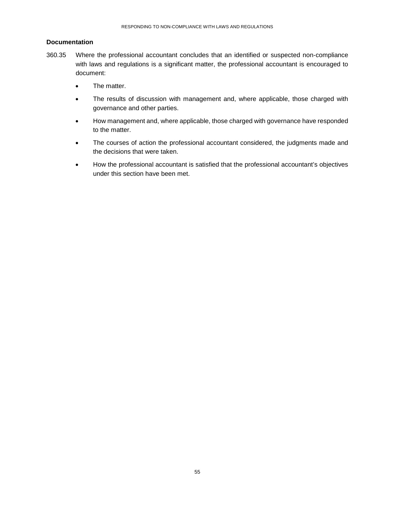#### **Documentation**

- 360.35 Where the professional accountant concludes that an identified or suspected non-compliance with laws and regulations is a significant matter, the professional accountant is encouraged to document:
	- The matter.
	- The results of discussion with management and, where applicable, those charged with governance and other parties.
	- How management and, where applicable, those charged with governance have responded to the matter.
	- The courses of action the professional accountant considered, the judgments made and the decisions that were taken.
	- How the professional accountant is satisfied that the professional accountant's objectives under this section have been met.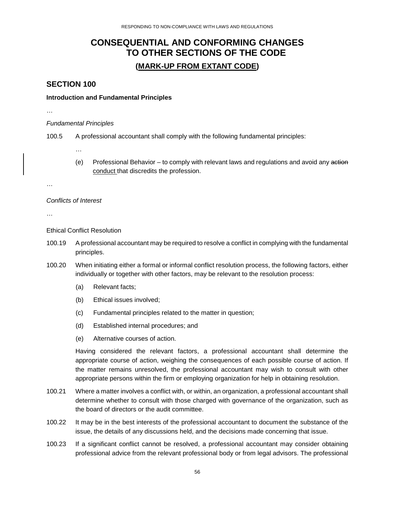# **CONSEQUENTIAL AND CONFORMING CHANGES TO OTHER SECTIONS OF THE CODE**

# **(MARK-UP FROM [EXTANT CODE\)](https://www.ifac.org/ethics/iesba-code)**

# <span id="page-55-1"></span><span id="page-55-0"></span>**SECTION 100**

#### **Introduction and Fundamental Principles**

…

#### *Fundamental Principles*

100.5 A professional accountant shall comply with the following fundamental principles:

…

(e) Professional Behavior – to comply with relevant laws and regulations and avoid any action conduct that discredits the profession.

…

#### *Conflicts of Interest*

…

Ethical Conflict Resolution

- 100.19 A professional accountant may be required to resolve a conflict in complying with the fundamental principles.
- 100.20 When initiating either a formal or informal conflict resolution process, the following factors, either individually or together with other factors, may be relevant to the resolution process:
	- (a) Relevant facts;
	- (b) Ethical issues involved;
	- (c) Fundamental principles related to the matter in question;
	- (d) Established internal procedures; and
	- (e) Alternative courses of action.

Having considered the relevant factors, a professional accountant shall determine the appropriate course of action, weighing the consequences of each possible course of action. If the matter remains unresolved, the professional accountant may wish to consult with other appropriate persons within the firm or employing organization for help in obtaining resolution.

- 100.21 Where a matter involves a conflict with, or within, an organization, a professional accountant shall determine whether to consult with those charged with governance of the organization, such as the board of directors or the audit committee.
- 100.22 It may be in the best interests of the professional accountant to document the substance of the issue, the details of any discussions held, and the decisions made concerning that issue.
- 100.23 If a significant conflict cannot be resolved, a professional accountant may consider obtaining professional advice from the relevant professional body or from legal advisors. The professional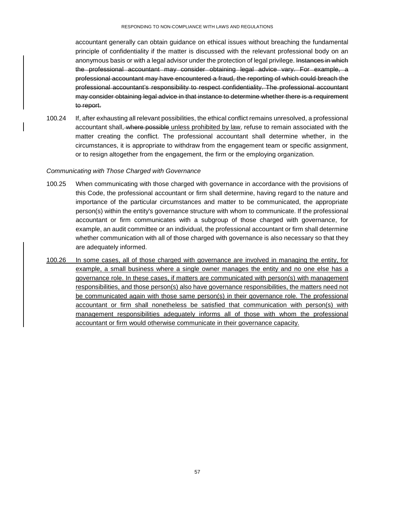accountant generally can obtain guidance on ethical issues without breaching the fundamental principle of confidentiality if the matter is discussed with the relevant professional body on an anonymous basis or with a legal advisor under the protection of legal privilege. Instances in which the professional accountant may consider obtaining legal advice vary. For example, a professional accountant may have encountered a fraud, the reporting of which could breach the professional accountant's responsibility to respect confidentiality. The professional accountant may consider obtaining legal advice in that instance to determine whether there is a requirement to report.

100.24 If, after exhausting all relevant possibilities, the ethical conflict remains unresolved, a professional accountant shall, where possible unless prohibited by law, refuse to remain associated with the matter creating the conflict. The professional accountant shall determine whether, in the circumstances, it is appropriate to withdraw from the engagement team or specific assignment, or to resign altogether from the engagement, the firm or the employing organization.

#### *Communicating with Those Charged with Governance*

- 100.25 When communicating with those charged with governance in accordance with the provisions of this Code, the professional accountant or firm shall determine, having regard to the nature and importance of the particular circumstances and matter to be communicated, the appropriate person(s) within the entity's governance structure with whom to communicate. If the professional accountant or firm communicates with a subgroup of those charged with governance, for example, an audit committee or an individual, the professional accountant or firm shall determine whether communication with all of those charged with governance is also necessary so that they are adequately informed.
- 100.26 In some cases, all of those charged with governance are involved in managing the entity, for example, a small business where a single owner manages the entity and no one else has a governance role. In these cases, if matters are communicated with person(s) with management responsibilities, and those person(s) also have governance responsibilities, the matters need not be communicated again with those same person(s) in their governance role. The professional accountant or firm shall nonetheless be satisfied that communication with person(s) with management responsibilities adequately informs all of those with whom the professional accountant or firm would otherwise communicate in their governance capacity.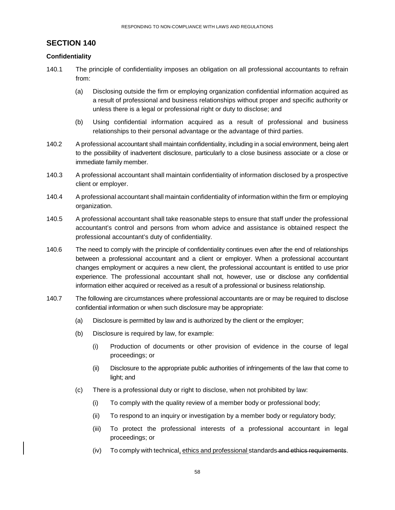#### <span id="page-57-0"></span>**Confidentiality**

- 140.1 The principle of confidentiality imposes an obligation on all professional accountants to refrain from:
	- (a) Disclosing outside the firm or employing organization confidential information acquired as a result of professional and business relationships without proper and specific authority or unless there is a legal or professional right or duty to disclose; and
	- (b) Using confidential information acquired as a result of professional and business relationships to their personal advantage or the advantage of third parties.
- 140.2 A professional accountant shall maintain confidentiality, including in a social environment, being alert to the possibility of inadvertent disclosure, particularly to a close business associate or a close or immediate family member.
- 140.3 A professional accountant shall maintain confidentiality of information disclosed by a prospective client or employer.
- 140.4 A professional accountant shall maintain confidentiality of information within the firm or employing organization.
- 140.5 A professional accountant shall take reasonable steps to ensure that staff under the professional accountant's control and persons from whom advice and assistance is obtained respect the professional accountant's duty of confidentiality.
- 140.6 The need to comply with the principle of confidentiality continues even after the end of relationships between a professional accountant and a client or employer. When a professional accountant changes employment or acquires a new client, the professional accountant is entitled to use prior experience. The professional accountant shall not, however, use or disclose any confidential information either acquired or received as a result of a professional or business relationship.
- 140.7 The following are circumstances where professional accountants are or may be required to disclose confidential information or when such disclosure may be appropriate:
	- (a) Disclosure is permitted by law and is authorized by the client or the employer;
	- (b) Disclosure is required by law, for example:
		- (i) Production of documents or other provision of evidence in the course of legal proceedings; or
		- (ii) Disclosure to the appropriate public authorities of infringements of the law that come to light; and
	- (c) There is a professional duty or right to disclose, when not prohibited by law:
		- (i) To comply with the quality review of a member body or professional body;
		- (ii) To respond to an inquiry or investigation by a member body or regulatory body;
		- (iii) To protect the professional interests of a professional accountant in legal proceedings; or
		- (iv) To comply with technical, ethics and professional standards and ethics requirements.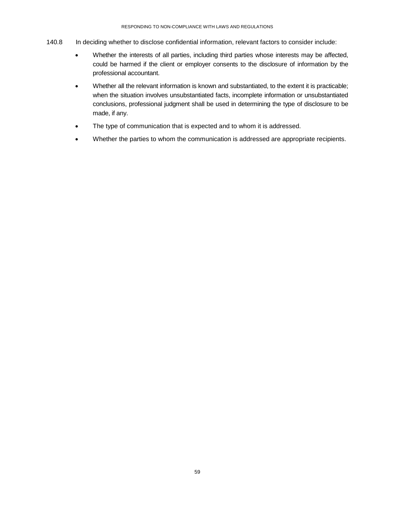- 140.8 In deciding whether to disclose confidential information, relevant factors to consider include:
	- Whether the interests of all parties, including third parties whose interests may be affected, could be harmed if the client or employer consents to the disclosure of information by the professional accountant.
	- Whether all the relevant information is known and substantiated, to the extent it is practicable; when the situation involves unsubstantiated facts, incomplete information or unsubstantiated conclusions, professional judgment shall be used in determining the type of disclosure to be made, if any.
	- The type of communication that is expected and to whom it is addressed.
	- Whether the parties to whom the communication is addressed are appropriate recipients.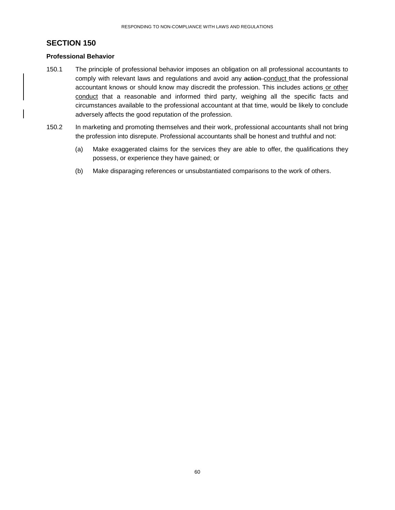#### <span id="page-59-0"></span>**Professional Behavior**

- 150.1 The principle of professional behavior imposes an obligation on all professional accountants to comply with relevant laws and regulations and avoid any action conduct that the professional accountant knows or should know may discredit the profession. This includes actions or other conduct that a reasonable and informed third party, weighing all the specific facts and circumstances available to the professional accountant at that time, would be likely to conclude adversely affects the good reputation of the profession.
- 150.2 In marketing and promoting themselves and their work, professional accountants shall not bring the profession into disrepute. Professional accountants shall be honest and truthful and not:
	- (a) Make exaggerated claims for the services they are able to offer, the qualifications they possess, or experience they have gained; or
	- (b) Make disparaging references or unsubstantiated comparisons to the work of others.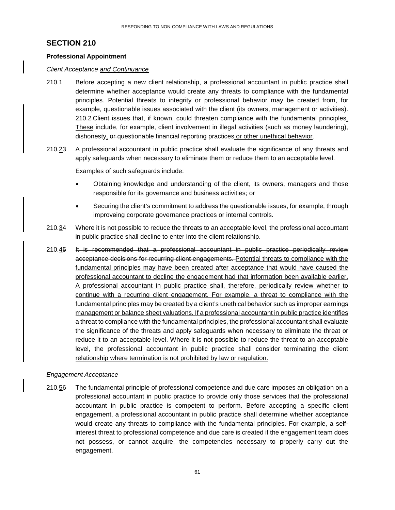#### <span id="page-60-0"></span>**Professional Appointment**

#### *Client Acceptance and Continuance*

- 210.1 Before accepting a new client relationship, a professional accountant in public practice shall determine whether acceptance would create any threats to compliance with the fundamental principles. Potential threats to integrity or professional behavior may be created from, for example, questionable issues associated with the client (its owners, management or activities). 210.2 Client issues that, if known, could threaten compliance with the fundamental principles. These include, for example, client involvement in illegal activities (such as money laundering), dishonesty, or questionable financial reporting practices or other unethical behavior.
- 210.23 A professional accountant in public practice shall evaluate the significance of any threats and apply safeguards when necessary to eliminate them or reduce them to an acceptable level.

Examples of such safeguards include:

- Obtaining knowledge and understanding of the client, its owners, managers and those responsible for its governance and business activities; or
- Securing the client's commitment to address the questionable issues, for example, through improveing corporate governance practices or internal controls.
- 210.34 Where it is not possible to reduce the threats to an acceptable level, the professional accountant in public practice shall decline to enter into the client relationship.
- 210.45 It is recommended that a professional accountant in public practice periodically review acceptance decisions for recurring client engagements. Potential threats to compliance with the fundamental principles may have been created after acceptance that would have caused the professional accountant to decline the engagement had that information been available earlier. A professional accountant in public practice shall, therefore, periodically review whether to continue with a recurring client engagement. For example, a threat to compliance with the fundamental principles may be created by a client's unethical behavior such as improper earnings management or balance sheet valuations. If a professional accountant in public practice identifies a threat to compliance with the fundamental principles, the professional accountant shall evaluate the significance of the threats and apply safeguards when necessary to eliminate the threat or reduce it to an acceptable level. Where it is not possible to reduce the threat to an acceptable level, the professional accountant in public practice shall consider terminating the client relationship where termination is not prohibited by law or regulation.

#### *Engagement Acceptance*

210.56 The fundamental principle of professional competence and due care imposes an obligation on a professional accountant in public practice to provide only those services that the professional accountant in public practice is competent to perform. Before accepting a specific client engagement, a professional accountant in public practice shall determine whether acceptance would create any threats to compliance with the fundamental principles. For example, a selfinterest threat to professional competence and due care is created if the engagement team does not possess, or cannot acquire, the competencies necessary to properly carry out the engagement.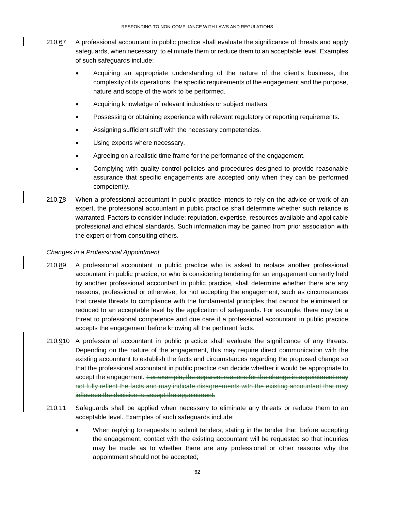- 210.67 A professional accountant in public practice shall evaluate the significance of threats and apply safeguards, when necessary, to eliminate them or reduce them to an acceptable level. Examples of such safeguards include:
	- Acquiring an appropriate understanding of the nature of the client's business, the complexity of its operations, the specific requirements of the engagement and the purpose, nature and scope of the work to be performed.
	- Acquiring knowledge of relevant industries or subject matters.
	- Possessing or obtaining experience with relevant regulatory or reporting requirements.
	- Assigning sufficient staff with the necessary competencies.
	- Using experts where necessary.
	- Agreeing on a realistic time frame for the performance of the engagement.
	- Complying with quality control policies and procedures designed to provide reasonable assurance that specific engagements are accepted only when they can be performed competently.
- 210.78 When a professional accountant in public practice intends to rely on the advice or work of an expert, the professional accountant in public practice shall determine whether such reliance is warranted. Factors to consider include: reputation, expertise, resources available and applicable professional and ethical standards. Such information may be gained from prior association with the expert or from consulting others.

#### *Changes in a Professional Appointment*

- 210.89 A professional accountant in public practice who is asked to replace another professional accountant in public practice, or who is considering tendering for an engagement currently held by another professional accountant in public practice, shall determine whether there are any reasons, professional or otherwise, for not accepting the engagement, such as circumstances that create threats to compliance with the fundamental principles that cannot be eliminated or reduced to an acceptable level by the application of safeguards. For example, there may be a threat to professional competence and due care if a professional accountant in public practice accepts the engagement before knowing all the pertinent facts.
- 210.910 A professional accountant in public practice shall evaluate the significance of any threats. Depending on the nature of the engagement, this may require direct communication with the existing accountant to establish the facts and circumstances regarding the proposed change so that the professional accountant in public practice can decide whether it would be appropriate to accept the engagement. For example, the apparent reasons for the change in appointment may not fully reflect the facts and may indicate disagreements with the existing accountant that may influence the decision to accept the appointment.
- 210.11 Safeguards shall be applied when necessary to eliminate any threats or reduce them to an acceptable level. Examples of such safeguards include:
	- When replying to requests to submit tenders, stating in the tender that, before accepting the engagement, contact with the existing accountant will be requested so that inquiries may be made as to whether there are any professional or other reasons why the appointment should not be accepted;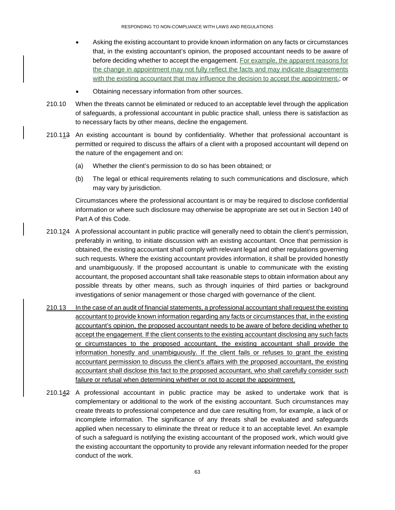- Asking the existing accountant to provide known information on any facts or circumstances that, in the existing accountant's opinion, the proposed accountant needs to be aware of before deciding whether to accept the engagement. For example, the apparent reasons for the change in appointment may not fully reflect the facts and may indicate disagreements with the existing accountant that may influence the decision to accept the appointment.; or
- Obtaining necessary information from other sources.
- 210.10 When the threats cannot be eliminated or reduced to an acceptable level through the application of safeguards, a professional accountant in public practice shall, unless there is satisfaction as to necessary facts by other means, decline the engagement.
- 210.113 An existing accountant is bound by confidentiality. Whether that professional accountant is permitted or required to discuss the affairs of a client with a proposed accountant will depend on the nature of the engagement and on:
	- (a) Whether the client's permission to do so has been obtained; or
	- (b) The legal or ethical requirements relating to such communications and disclosure, which may vary by jurisdiction.

Circumstances where the professional accountant is or may be required to disclose confidential information or where such disclosure may otherwise be appropriate are set out in Section 140 of Part A of this Code.

- 210.124 A professional accountant in public practice will generally need to obtain the client's permission, preferably in writing, to initiate discussion with an existing accountant. Once that permission is obtained, the existing accountant shall comply with relevant legal and other regulations governing such requests. Where the existing accountant provides information, it shall be provided honestly and unambiguously. If the proposed accountant is unable to communicate with the existing accountant, the proposed accountant shall take reasonable steps to obtain information about any possible threats by other means, such as through inquiries of third parties or background investigations of senior management or those charged with governance of the client.
- 210.13 In the case of an audit of financial statements, a professional accountant shall request the existing accountant to provide known information regarding any facts or circumstances that, in the existing accountant's opinion, the proposed accountant needs to be aware of before deciding whether to accept the engagement. If the client consents to the existing accountant disclosing any such facts or circumstances to the proposed accountant, the existing accountant shall provide the information honestly and unambiguously. If the client fails or refuses to grant the existing accountant permission to discuss the client's affairs with the proposed accountant, the existing accountant shall disclose this fact to the proposed accountant, who shall carefully consider such failure or refusal when determining whether or not to accept the appointment.
- 210.142 A professional accountant in public practice may be asked to undertake work that is complementary or additional to the work of the existing accountant. Such circumstances may create threats to professional competence and due care resulting from, for example, a lack of or incomplete information. The significance of any threats shall be evaluated and safeguards applied when necessary to eliminate the threat or reduce it to an acceptable level. An example of such a safeguard is notifying the existing accountant of the proposed work, which would give the existing accountant the opportunity to provide any relevant information needed for the proper conduct of the work.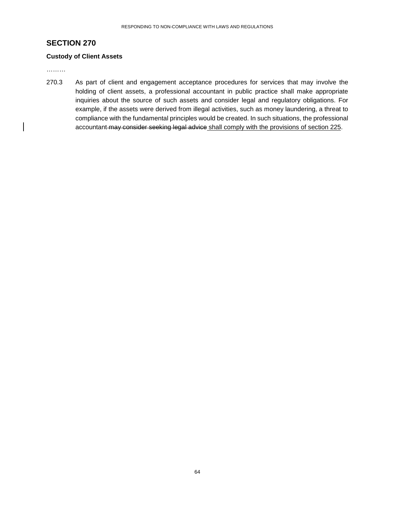#### <span id="page-63-0"></span>**Custody of Client Assets**

………

270.3 As part of client and engagement acceptance procedures for services that may involve the holding of client assets, a professional accountant in public practice shall make appropriate inquiries about the source of such assets and consider legal and regulatory obligations. For example, if the assets were derived from illegal activities, such as money laundering, a threat to compliance with the fundamental principles would be created. In such situations, the professional accountant may consider seeking legal advice shall comply with the provisions of section 225.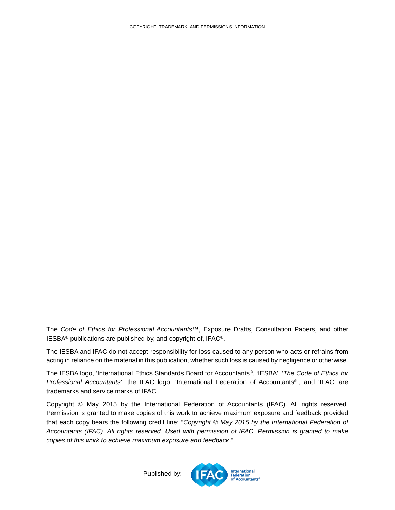<span id="page-64-0"></span>The *Code of Ethics for Professional Accountants™*, Exposure Drafts, Consultation Papers, and other IESBA® publications are published by, and copyright of, IFAC®.

The IESBA and IFAC do not accept responsibility for loss caused to any person who acts or refrains from acting in reliance on the material in this publication, whether such loss is caused by negligence or otherwise.

The IESBA logo, 'International Ethics Standards Board for Accountants®, 'IESBA', '*The Code of Ethics for Professional Accountants*', the IFAC logo, 'International Federation of Accountants®', and 'IFAC' are trademarks and service marks of IFAC.

Copyright © May 2015 by the International Federation of Accountants (IFAC). All rights reserved. Permission is granted to make copies of this work to achieve maximum exposure and feedback provided that each copy bears the following credit line: "*Copyright © May 2015 by the International Federation of Accountants (IFAC). All rights reserved. Used with permission of IFAC. Permission is granted to make copies of this work to achieve maximum exposure and feedback*."